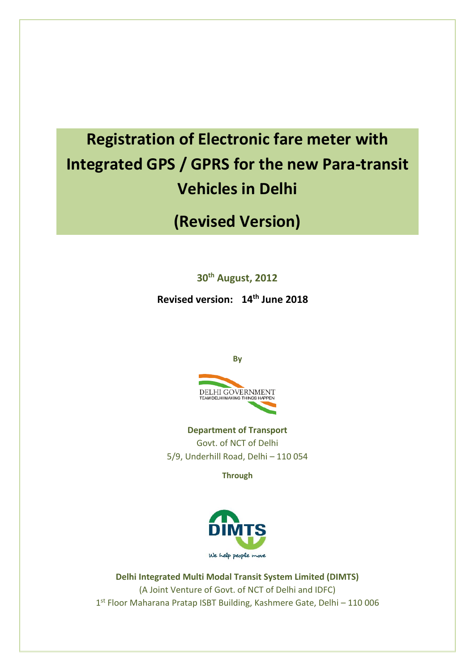# **Registration of Electronic fare meter with Integrated GPS / GPRS for the new Para-transit Vehicles in Delhi**

**(Revised Version)**

**30th August, 2012**

**Revised version: 14th June 2018**



**Department of Transport** Govt. of NCT of Delhi 5/9, Underhill Road, Delhi – 110 054

**Through**



**Delhi Integrated Multi Modal Transit System Limited (DIMTS)** (A Joint Venture of Govt. of NCT of Delhi and IDFC) 1 st Floor Maharana Pratap ISBT Building, Kashmere Gate, Delhi – 110 006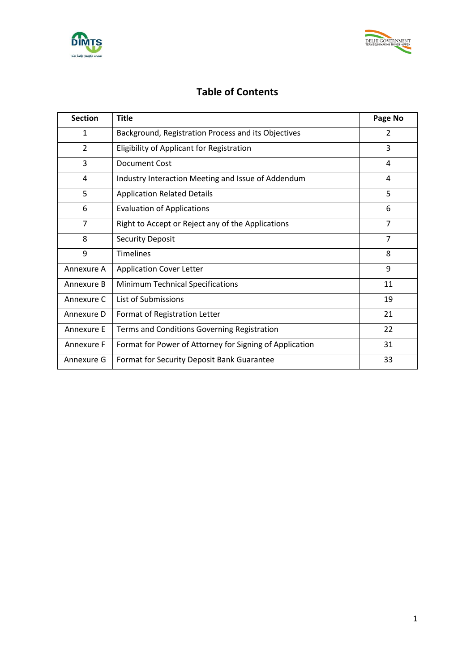



## **Table of Contents**

| <b>Section</b>                                           | <b>Title</b>                                            | Page No        |
|----------------------------------------------------------|---------------------------------------------------------|----------------|
| 1                                                        | Background, Registration Process and its Objectives     | $\overline{2}$ |
| $\overline{2}$                                           | Eligibility of Applicant for Registration               | 3              |
| 3                                                        | <b>Document Cost</b>                                    | 4              |
| 4                                                        | Industry Interaction Meeting and Issue of Addendum      | 4              |
| 5                                                        | <b>Application Related Details</b>                      | 5              |
| 6                                                        | <b>Evaluation of Applications</b>                       | 6              |
| $\overline{7}$                                           | Right to Accept or Reject any of the Applications       | $\overline{7}$ |
| 8                                                        | <b>Security Deposit</b>                                 | $\overline{7}$ |
| 9                                                        | <b>Timelines</b>                                        | 8              |
| Annexure A                                               | <b>Application Cover Letter</b>                         | 9              |
| Annexure B                                               | <b>Minimum Technical Specifications</b>                 | 11             |
| Annexure C                                               | List of Submissions                                     | 19             |
| Annexure D                                               | Format of Registration Letter                           | 21             |
| Annexure E                                               | Terms and Conditions Governing Registration             | 22             |
| Annexure F                                               | Format for Power of Attorney for Signing of Application | 31             |
| Annexure G<br>Format for Security Deposit Bank Guarantee |                                                         | 33             |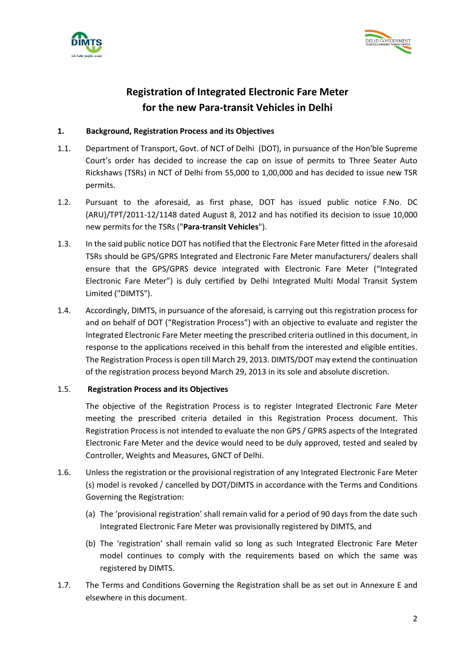



# **Registration of Integrated Electronic Fare Meter for the new Para-transit Vehicles in Delhi**

## **1. Background, Registration Process and its Objectives**

- 1.1. Department of Transport, Govt. of NCT of Delhi (DOT), in pursuance of the Hon'ble Supreme Court's order has decided to increase the cap on issue of permits to Three Seater Auto Rickshaws (TSRs) in NCT of Delhi from 55,000 to 1,00,000 and has decided to issue new TSR permits.
- 1.2. Pursuant to the aforesaid, as first phase, DOT has issued public notice F.No. DC (ARU)/TPT/2011-12/1148 dated August 8, 2012 and has notified its decision to issue 10,000 new permits for the TSRs ("**Para-transit Vehicles**").
- 1.3. In the said public notice DOT has notified that the Electronic Fare Meter fitted in the aforesaid TSRs should be GPS/GPRS Integrated and Electronic Fare Meter manufacturers/ dealers shall ensure that the GPS/GPRS device integrated with Electronic Fare Meter ("Integrated Electronic Fare Meter") is duly certified by Delhi Integrated Multi Modal Transit System Limited ("DIMTS").
- 1.4. Accordingly, DIMTS, in pursuance of the aforesaid, is carrying out this registration process for and on behalf of DOT ("Registration Process") with an objective to evaluate and register the Integrated Electronic Fare Meter meeting the prescribed criteria outlined in this document, in response to the applications received in this behalf from the interested and eligible entities. The Registration Processis open till March 29, 2013. DIMTS/DOT may extend the continuation of the registration process beyond March 29, 2013 in its sole and absolute discretion.

## 1.5. **Registration Process and its Objectives**

The objective of the Registration Process is to register Integrated Electronic Fare Meter meeting the prescribed criteria detailed in this Registration Process document. This Registration Process is not intended to evaluate the non GPS / GPRS aspects of the Integrated Electronic Fare Meter and the device would need to be duly approved, tested and sealed by Controller, Weights and Measures, GNCT of Delhi.

- 1.6. Unless the registration or the provisional registration of any Integrated Electronic Fare Meter (s) model is revoked / cancelled by DOT/DIMTS in accordance with the Terms and Conditions Governing the Registration:
	- (a) The 'provisional registration' shall remain valid for a period of 90 days from the date such Integrated Electronic Fare Meter was provisionally registered by DIMTS, and
	- (b) The 'registration' shall remain valid so long as such Integrated Electronic Fare Meter model continues to comply with the requirements based on which the same was registered by DIMTS.
- 1.7. The Terms and Conditions Governing the Registration shall be as set out in Annexure E and elsewhere in this document.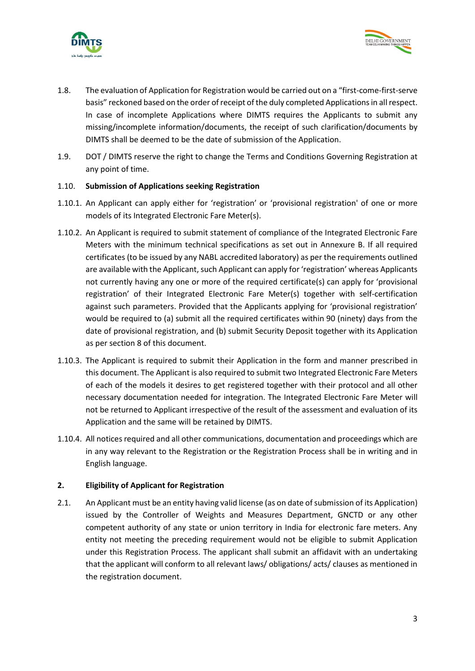



- 1.8. The evaluation of Application for Registration would be carried out on a "first-come-first-serve basis" reckoned based on the order of receipt of the duly completed Applications in all respect. In case of incomplete Applications where DIMTS requires the Applicants to submit any missing/incomplete information/documents, the receipt of such clarification/documents by DIMTS shall be deemed to be the date of submission of the Application.
- 1.9. DOT / DIMTS reserve the right to change the Terms and Conditions Governing Registration at any point of time.

## 1.10. **Submission of Applications seeking Registration**

- 1.10.1. An Applicant can apply either for 'registration' or 'provisional registration' of one or more models of its Integrated Electronic Fare Meter(s).
- 1.10.2. An Applicant is required to submit statement of compliance of the Integrated Electronic Fare Meters with the minimum technical specifications as set out in Annexure B. If all required certificates (to be issued by any NABL accredited laboratory) as per the requirements outlined are available with the Applicant, such Applicant can apply for 'registration' whereas Applicants not currently having any one or more of the required certificate(s) can apply for 'provisional registration' of their Integrated Electronic Fare Meter(s) together with self-certification against such parameters. Provided that the Applicants applying for 'provisional registration' would be required to (a) submit all the required certificates within 90 (ninety) days from the date of provisional registration, and (b) submit Security Deposit together with its Application as per section 8 of this document.
- 1.10.3. The Applicant is required to submit their Application in the form and manner prescribed in this document. The Applicant is also required to submit two Integrated Electronic Fare Meters of each of the models it desires to get registered together with their protocol and all other necessary documentation needed for integration. The Integrated Electronic Fare Meter will not be returned to Applicant irrespective of the result of the assessment and evaluation of its Application and the same will be retained by DIMTS.
- 1.10.4. All notices required and all other communications, documentation and proceedings which are in any way relevant to the Registration or the Registration Process shall be in writing and in English language.

## **2. Eligibility of Applicant for Registration**

2.1. An Applicant must be an entity having valid license (as on date of submission of its Application) issued by the Controller of Weights and Measures Department, GNCTD or any other competent authority of any state or union territory in India for electronic fare meters. Any entity not meeting the preceding requirement would not be eligible to submit Application under this Registration Process. The applicant shall submit an affidavit with an undertaking that the applicant will conform to all relevant laws/ obligations/ acts/ clauses as mentioned in the registration document.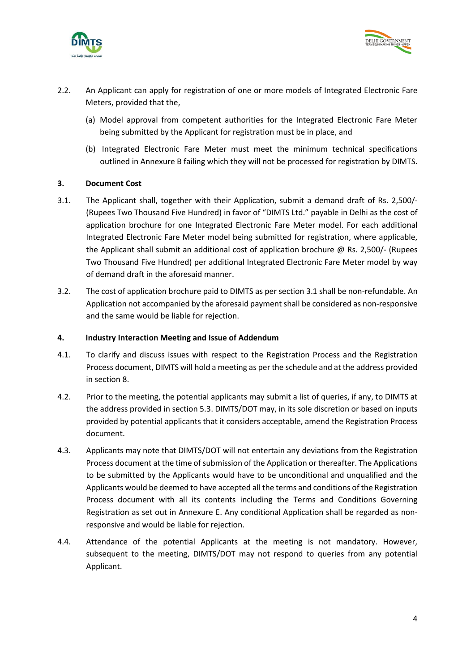



- 2.2. An Applicant can apply for registration of one or more models of Integrated Electronic Fare Meters, provided that the,
	- (a) Model approval from competent authorities for the Integrated Electronic Fare Meter being submitted by the Applicant for registration must be in place, and
	- (b) Integrated Electronic Fare Meter must meet the minimum technical specifications outlined in Annexure B failing which they will not be processed for registration by DIMTS.

## **3. Document Cost**

- 3.1. The Applicant shall, together with their Application, submit a demand draft of Rs. 2,500/- (Rupees Two Thousand Five Hundred) in favor of "DIMTS Ltd." payable in Delhi as the cost of application brochure for one Integrated Electronic Fare Meter model. For each additional Integrated Electronic Fare Meter model being submitted for registration, where applicable, the Applicant shall submit an additional cost of application brochure @ Rs. 2,500/- (Rupees Two Thousand Five Hundred) per additional Integrated Electronic Fare Meter model by way of demand draft in the aforesaid manner.
- 3.2. The cost of application brochure paid to DIMTS as per section 3.1 shall be non-refundable. An Application not accompanied by the aforesaid payment shall be considered as non-responsive and the same would be liable for rejection.

## **4. Industry Interaction Meeting and Issue of Addendum**

- 4.1. To clarify and discuss issues with respect to the Registration Process and the Registration Process document, DIMTS will hold a meeting as per the schedule and at the address provided in section 8.
- 4.2. Prior to the meeting, the potential applicants may submit a list of queries, if any, to DIMTS at the address provided in section 5.3. DIMTS/DOT may, in its sole discretion or based on inputs provided by potential applicants that it considers acceptable, amend the Registration Process document.
- 4.3. Applicants may note that DIMTS/DOT will not entertain any deviations from the Registration Process document at the time of submission of the Application or thereafter. The Applications to be submitted by the Applicants would have to be unconditional and unqualified and the Applicants would be deemed to have accepted all the terms and conditions of the Registration Process document with all its contents including the Terms and Conditions Governing Registration as set out in Annexure E. Any conditional Application shall be regarded as nonresponsive and would be liable for rejection.
- 4.4. Attendance of the potential Applicants at the meeting is not mandatory. However, subsequent to the meeting, DIMTS/DOT may not respond to queries from any potential Applicant.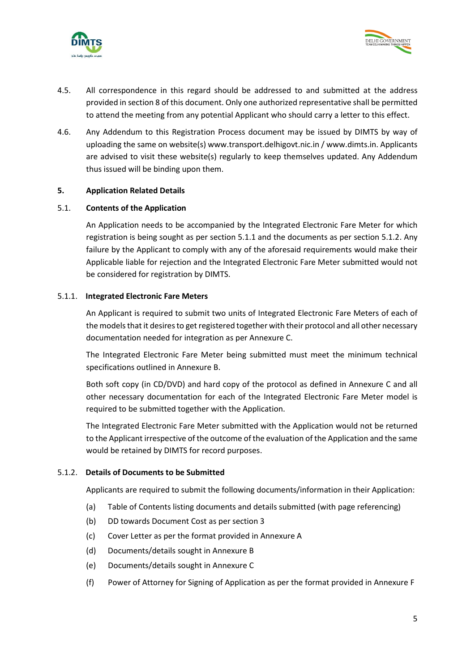



- 4.5. All correspondence in this regard should be addressed to and submitted at the address provided in section 8 of this document. Only one authorized representative shall be permitted to attend the meeting from any potential Applicant who should carry a letter to this effect.
- 4.6. Any Addendum to this Registration Process document may be issued by DIMTS by way of uploading the same on website(s) www.transport.delhigovt.nic.in / www.dimts.in. Applicants are advised to visit these website(s) regularly to keep themselves updated. Any Addendum thus issued will be binding upon them.

## **5. Application Related Details**

## 5.1. **Contents of the Application**

An Application needs to be accompanied by the Integrated Electronic Fare Meter for which registration is being sought as per section 5.1.1 and the documents as per section 5.1.2. Any failure by the Applicant to comply with any of the aforesaid requirements would make their Applicable liable for rejection and the Integrated Electronic Fare Meter submitted would not be considered for registration by DIMTS.

## 5.1.1. **Integrated Electronic Fare Meters**

An Applicant is required to submit two units of Integrated Electronic Fare Meters of each of the models that it desires to get registered together with their protocol and all other necessary documentation needed for integration as per Annexure C.

The Integrated Electronic Fare Meter being submitted must meet the minimum technical specifications outlined in Annexure B.

Both soft copy (in CD/DVD) and hard copy of the protocol as defined in Annexure C and all other necessary documentation for each of the Integrated Electronic Fare Meter model is required to be submitted together with the Application.

The Integrated Electronic Fare Meter submitted with the Application would not be returned to the Applicant irrespective of the outcome of the evaluation of the Application and the same would be retained by DIMTS for record purposes.

## 5.1.2. **Details of Documents to be Submitted**

Applicants are required to submit the following documents/information in their Application:

- (a) Table of Contents listing documents and details submitted (with page referencing)
- (b) DD towards Document Cost as per section 3
- (c) Cover Letter as per the format provided in Annexure A
- (d) Documents/details sought in Annexure B
- (e) Documents/details sought in Annexure C
- (f) Power of Attorney for Signing of Application as per the format provided in Annexure F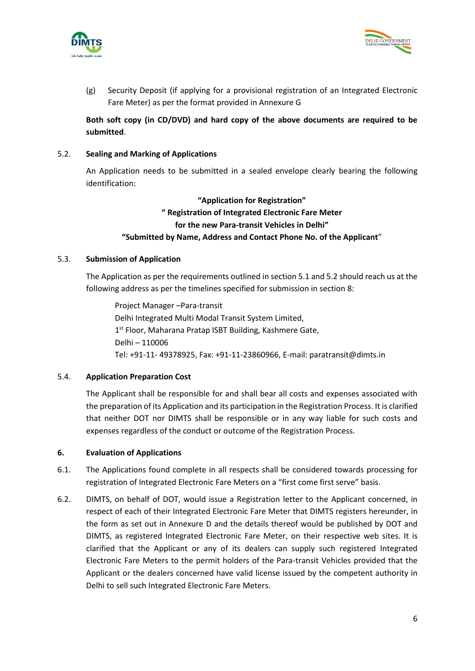



(g) Security Deposit (if applying for a provisional registration of an Integrated Electronic Fare Meter) as per the format provided in Annexure G

**Both soft copy (in CD/DVD) and hard copy of the above documents are required to be submitted**.

## 5.2. **Sealing and Marking of Applications**

An Application needs to be submitted in a sealed envelope clearly bearing the following identification:

## **"Application for Registration" " Registration of Integrated Electronic Fare Meter for the new Para-transit Vehicles in Delhi" "Submitted by Name, Address and Contact Phone No. of the Applicant**"

## 5.3. **Submission of Application**

The Application as per the requirements outlined in section 5.1 and 5.2 should reach us at the following address as per the timelines specified for submission in section 8:

Project Manager –Para-transit Delhi Integrated Multi Modal Transit System Limited, 1 st Floor, Maharana Pratap ISBT Building, Kashmere Gate, Delhi – 110006 Tel: +91-11- 49378925, Fax: +91-11-23860966, E-mail: paratransit@dimts.in

## 5.4. **Application Preparation Cost**

The Applicant shall be responsible for and shall bear all costs and expenses associated with the preparation of its Application and its participation in the Registration Process. It is clarified that neither DOT nor DIMTS shall be responsible or in any way liable for such costs and expenses regardless of the conduct or outcome of the Registration Process.

## **6. Evaluation of Applications**

- 6.1. The Applications found complete in all respects shall be considered towards processing for registration of Integrated Electronic Fare Meters on a "first come first serve" basis.
- 6.2. DIMTS, on behalf of DOT, would issue a Registration letter to the Applicant concerned, in respect of each of their Integrated Electronic Fare Meter that DIMTS registers hereunder, in the form as set out in Annexure D and the details thereof would be published by DOT and DIMTS, as registered Integrated Electronic Fare Meter, on their respective web sites. It is clarified that the Applicant or any of its dealers can supply such registered Integrated Electronic Fare Meters to the permit holders of the Para-transit Vehicles provided that the Applicant or the dealers concerned have valid license issued by the competent authority in Delhi to sell such Integrated Electronic Fare Meters.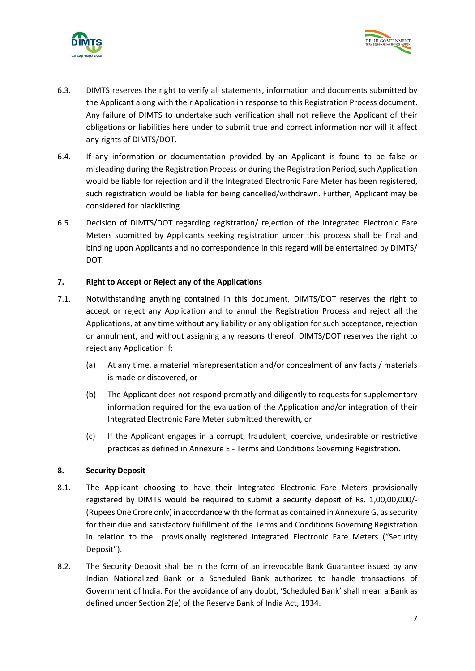



- 6.3. DIMTS reserves the right to verify all statements, information and documents submitted by the Applicant along with their Application in response to this Registration Process document. Any failure of DIMTS to undertake such verification shall not relieve the Applicant of their obligations or liabilities here under to submit true and correct information nor will it affect any rights of DIMTS/DOT.
- 6.4. If any information or documentation provided by an Applicant is found to be false or misleading during the Registration Process or during the Registration Period, such Application would be liable for rejection and if the Integrated Electronic Fare Meter has been registered, such registration would be liable for being cancelled/withdrawn. Further, Applicant may be considered for blacklisting.
- 6.5. Decision of DIMTS/DOT regarding registration/ rejection of the Integrated Electronic Fare Meters submitted by Applicants seeking registration under this process shall be final and binding upon Applicants and no correspondence in this regard will be entertained by DIMTS/ DOT.

## **7. Right to Accept or Reject any of the Applications**

- 7.1. Notwithstanding anything contained in this document, DIMTS/DOT reserves the right to accept or reject any Application and to annul the Registration Process and reject all the Applications, at any time without any liability or any obligation for such acceptance, rejection or annulment, and without assigning any reasons thereof. DIMTS/DOT reserves the right to reject any Application if:
	- (a) At any time, a material misrepresentation and/or concealment of any facts / materials is made or discovered, or
	- (b) The Applicant does not respond promptly and diligently to requests for supplementary information required for the evaluation of the Application and/or integration of their Integrated Electronic Fare Meter submitted therewith, or
	- (c) If the Applicant engages in a corrupt, fraudulent, coercive, undesirable or restrictive practices as defined in Annexure E - Terms and Conditions Governing Registration.

## **8. Security Deposit**

- 8.1. The Applicant choosing to have their Integrated Electronic Fare Meters provisionally registered by DIMTS would be required to submit a security deposit of Rs. 1,00,00,000/- (Rupees One Crore only) in accordance with the format as contained in Annexure G, as security for their due and satisfactory fulfillment of the Terms and Conditions Governing Registration in relation to the provisionally registered Integrated Electronic Fare Meters ("Security Deposit").
- 8.2. The Security Deposit shall be in the form of an irrevocable Bank Guarantee issued by any Indian Nationalized Bank or a Scheduled Bank authorized to handle transactions of Government of India. For the avoidance of any doubt, 'Scheduled Bank' shall mean a Bank as defined under Section 2(e) of the Reserve Bank of India Act, 1934.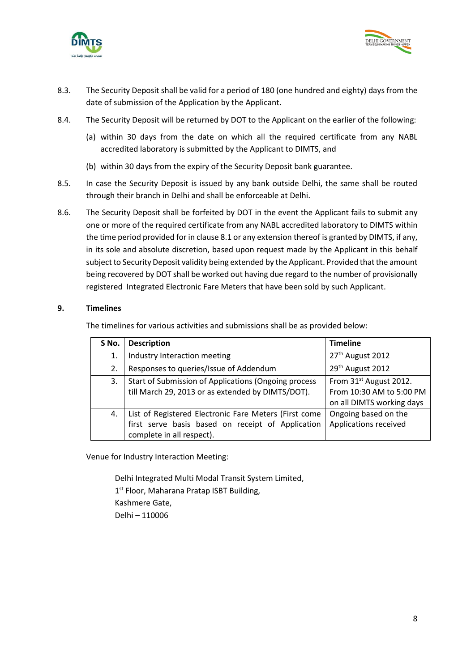



- 8.3. The Security Deposit shall be valid for a period of 180 (one hundred and eighty) days from the date of submission of the Application by the Applicant.
- 8.4. The Security Deposit will be returned by DOT to the Applicant on the earlier of the following:
	- (a) within 30 days from the date on which all the required certificate from any NABL accredited laboratory is submitted by the Applicant to DIMTS, and
	- (b) within 30 days from the expiry of the Security Deposit bank guarantee.
- 8.5. In case the Security Deposit is issued by any bank outside Delhi, the same shall be routed through their branch in Delhi and shall be enforceable at Delhi.
- 8.6. The Security Deposit shall be forfeited by DOT in the event the Applicant fails to submit any one or more of the required certificate from any NABL accredited laboratory to DIMTS within the time period provided for in clause 8.1 or any extension thereof is granted by DIMTS, if any, in its sole and absolute discretion, based upon request made by the Applicant in this behalf subject to Security Deposit validity being extended by the Applicant. Provided that the amount being recovered by DOT shall be worked out having due regard to the number of provisionally registered Integrated Electronic Fare Meters that have been sold by such Applicant.

## **9. Timelines**

The timelines for various activities and submissions shall be as provided below:

| S No. | <b>Description</b>                                                                                                                      | <b>Timeline</b>                                                                             |
|-------|-----------------------------------------------------------------------------------------------------------------------------------------|---------------------------------------------------------------------------------------------|
| 1.    | Industry Interaction meeting                                                                                                            | 27 <sup>th</sup> August 2012                                                                |
| 2.    | Responses to queries/Issue of Addendum                                                                                                  | 29 <sup>th</sup> August 2012                                                                |
| 3.    | Start of Submission of Applications (Ongoing process<br>till March 29, 2013 or as extended by DIMTS/DOT).                               | From 31 <sup>st</sup> August 2012.<br>From 10:30 AM to 5:00 PM<br>on all DIMTS working days |
| 4.    | List of Registered Electronic Fare Meters (First come<br>first serve basis based on receipt of Application<br>complete in all respect). | Ongoing based on the<br>Applications received                                               |

Venue for Industry Interaction Meeting:

Delhi Integrated Multi Modal Transit System Limited, 1<sup>st</sup> Floor, Maharana Pratap ISBT Building, Kashmere Gate, Delhi – 110006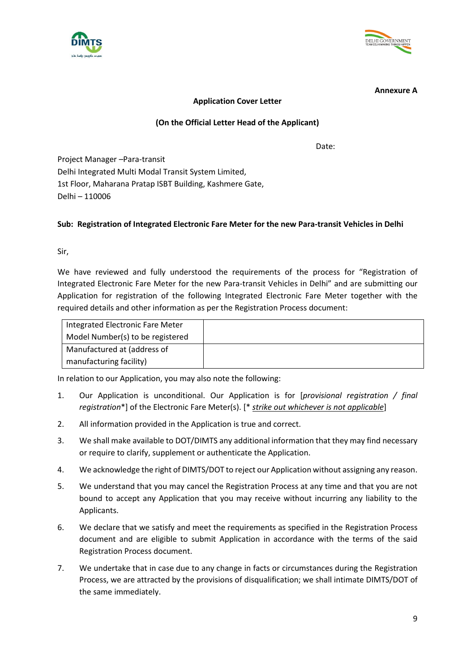



**Annexure A**

## **Application Cover Letter**

## **(On the Official Letter Head of the Applicant)**

Date:

Project Manager –Para-transit Delhi Integrated Multi Modal Transit System Limited, 1st Floor, Maharana Pratap ISBT Building, Kashmere Gate, Delhi – 110006

## **Sub: Registration of Integrated Electronic Fare Meter for the new Para-transit Vehicles in Delhi**

Sir,

We have reviewed and fully understood the requirements of the process for "Registration of Integrated Electronic Fare Meter for the new Para-transit Vehicles in Delhi" and are submitting our Application for registration of the following Integrated Electronic Fare Meter together with the required details and other information as per the Registration Process document:

| Integrated Electronic Fare Meter |  |
|----------------------------------|--|
| Model Number(s) to be registered |  |
| Manufactured at (address of      |  |
| manufacturing facility)          |  |

In relation to our Application, you may also note the following:

- 1. Our Application is unconditional. Our Application is for [*provisional registration / final registration*\*] of the Electronic Fare Meter(s). [\* *strike out whichever is not applicable*]
- 2. All information provided in the Application is true and correct.
- 3. We shall make available to DOT/DIMTS any additional information that they may find necessary or require to clarify, supplement or authenticate the Application.
- 4. We acknowledge the right of DIMTS/DOT to reject our Application without assigning any reason.
- 5. We understand that you may cancel the Registration Process at any time and that you are not bound to accept any Application that you may receive without incurring any liability to the Applicants.
- 6. We declare that we satisfy and meet the requirements as specified in the Registration Process document and are eligible to submit Application in accordance with the terms of the said Registration Process document.
- 7. We undertake that in case due to any change in facts or circumstances during the Registration Process, we are attracted by the provisions of disqualification; we shall intimate DIMTS/DOT of the same immediately.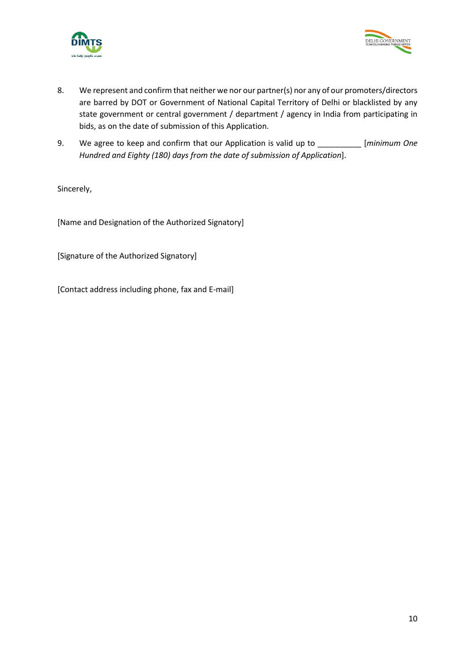



- 8. We represent and confirm that neither we nor our partner(s) nor any of our promoters/directors are barred by DOT or Government of National Capital Territory of Delhi or blacklisted by any state government or central government / department / agency in India from participating in bids, as on the date of submission of this Application.
- 9. We agree to keep and confirm that our Application is valid up to \_\_\_\_\_\_\_\_\_\_ [*minimum One Hundred and Eighty (180) days from the date of submission of Application*].

Sincerely,

[Name and Designation of the Authorized Signatory]

[Signature of the Authorized Signatory]

[Contact address including phone, fax and E-mail]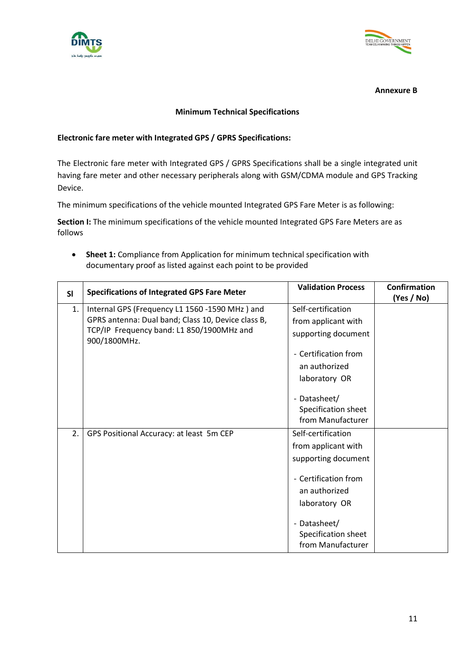



**Annexure B** 

## **Minimum Technical Specifications**

## **Electronic fare meter with Integrated GPS / GPRS Specifications:**

The Electronic fare meter with Integrated GPS / GPRS Specifications shall be a single integrated unit having fare meter and other necessary peripherals along with GSM/CDMA module and GPS Tracking Device.

The minimum specifications of the vehicle mounted Integrated GPS Fare Meter is as following:

Section I: The minimum specifications of the vehicle mounted Integrated GPS Fare Meters are as follows

 **Sheet 1:** Compliance from Application for minimum technical specification with documentary proof as listed against each point to be provided

| <b>SI</b> | <b>Specifications of Integrated GPS Fare Meter</b>                                                                                                                | <b>Validation Process</b>                                                                                                                                                              | <b>Confirmation</b><br>(Yes / No) |
|-----------|-------------------------------------------------------------------------------------------------------------------------------------------------------------------|----------------------------------------------------------------------------------------------------------------------------------------------------------------------------------------|-----------------------------------|
| 1.        | Internal GPS (Frequency L1 1560 -1590 MHz) and<br>GPRS antenna: Dual band; Class 10, Device class B,<br>TCP/IP Frequency band: L1 850/1900MHz and<br>900/1800MHz. | Self-certification<br>from applicant with<br>supporting document<br>- Certification from<br>an authorized<br>laboratory OR                                                             |                                   |
|           |                                                                                                                                                                   | - Datasheet/<br>Specification sheet<br>from Manufacturer                                                                                                                               |                                   |
| 2.        | GPS Positional Accuracy: at least 5m CEP                                                                                                                          | Self-certification<br>from applicant with<br>supporting document<br>- Certification from<br>an authorized<br>laboratory OR<br>- Datasheet/<br>Specification sheet<br>from Manufacturer |                                   |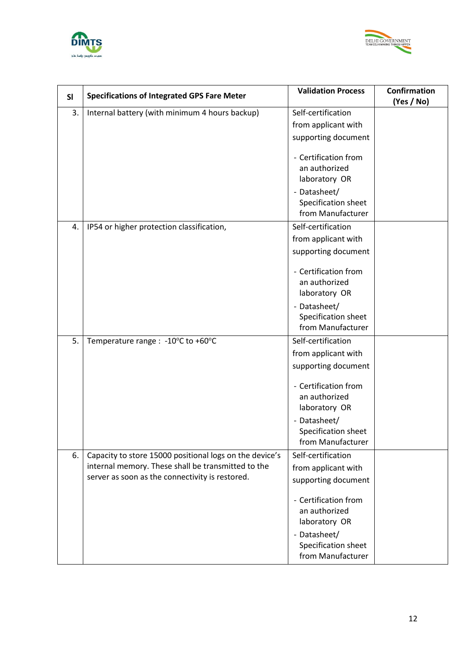



| SI | <b>Specifications of Integrated GPS Fare Meter</b>                                                                                                               | <b>Validation Process</b>                                                                                                  | <b>Confirmation</b><br>(Yes / No) |
|----|------------------------------------------------------------------------------------------------------------------------------------------------------------------|----------------------------------------------------------------------------------------------------------------------------|-----------------------------------|
| 3. | Internal battery (with minimum 4 hours backup)                                                                                                                   | Self-certification<br>from applicant with<br>supporting document                                                           |                                   |
|    |                                                                                                                                                                  | - Certification from<br>an authorized<br>laboratory OR<br>- Datasheet/                                                     |                                   |
|    |                                                                                                                                                                  | Specification sheet<br>from Manufacturer                                                                                   |                                   |
| 4. | IP54 or higher protection classification,                                                                                                                        | Self-certification<br>from applicant with<br>supporting document                                                           |                                   |
|    |                                                                                                                                                                  | - Certification from<br>an authorized<br>laboratory OR                                                                     |                                   |
|    |                                                                                                                                                                  | - Datasheet/<br>Specification sheet<br>from Manufacturer                                                                   |                                   |
| 5. | Temperature range : -10°C to +60°C                                                                                                                               | Self-certification<br>from applicant with<br>supporting document<br>- Certification from<br>an authorized<br>laboratory OR |                                   |
|    |                                                                                                                                                                  | - Datasheet/<br>Specification sheet<br>from Manufacturer                                                                   |                                   |
| 6. | Capacity to store 15000 positional logs on the device's<br>internal memory. These shall be transmitted to the<br>server as soon as the connectivity is restored. | Self-certification<br>from applicant with<br>supporting document                                                           |                                   |
|    |                                                                                                                                                                  | - Certification from<br>an authorized<br>laboratory OR                                                                     |                                   |
|    |                                                                                                                                                                  | - Datasheet/<br>Specification sheet<br>from Manufacturer                                                                   |                                   |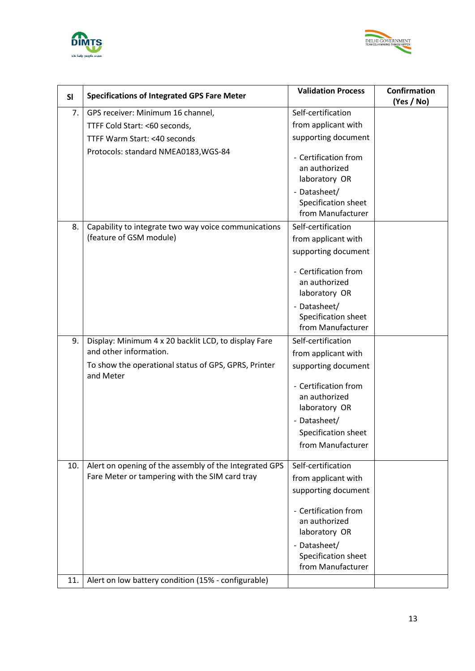



| SI  | <b>Specifications of Integrated GPS Fare Meter</b>                | <b>Validation Process</b>                                              | <b>Confirmation</b><br>(Yes / No) |
|-----|-------------------------------------------------------------------|------------------------------------------------------------------------|-----------------------------------|
| 7.  | GPS receiver: Minimum 16 channel,                                 | Self-certification                                                     |                                   |
|     | TTFF Cold Start: <60 seconds,                                     | from applicant with                                                    |                                   |
|     | TTFF Warm Start: <40 seconds                                      | supporting document                                                    |                                   |
|     | Protocols: standard NMEA0183, WGS-84                              | - Certification from<br>an authorized<br>laboratory OR<br>- Datasheet/ |                                   |
|     |                                                                   | Specification sheet<br>from Manufacturer                               |                                   |
| 8.  | Capability to integrate two way voice communications              | Self-certification                                                     |                                   |
|     | (feature of GSM module)                                           | from applicant with                                                    |                                   |
|     |                                                                   | supporting document                                                    |                                   |
|     |                                                                   | - Certification from<br>an authorized<br>laboratory OR<br>- Datasheet/ |                                   |
|     |                                                                   | Specification sheet<br>from Manufacturer                               |                                   |
| 9.  | Display: Minimum 4 x 20 backlit LCD, to display Fare              | Self-certification                                                     |                                   |
|     | and other information.                                            | from applicant with                                                    |                                   |
|     | To show the operational status of GPS, GPRS, Printer<br>and Meter | supporting document                                                    |                                   |
|     |                                                                   | - Certification from<br>an authorized<br>laboratory OR                 |                                   |
|     |                                                                   | - Datasheet/                                                           |                                   |
|     |                                                                   | Specification sheet<br>from Manufacturer                               |                                   |
| 10. | Alert on opening of the assembly of the Integrated GPS            | Self-certification                                                     |                                   |
|     | Fare Meter or tampering with the SIM card tray                    | from applicant with                                                    |                                   |
|     |                                                                   | supporting document                                                    |                                   |
|     |                                                                   | - Certification from<br>an authorized<br>laboratory OR                 |                                   |
|     |                                                                   | - Datasheet/<br>Specification sheet<br>from Manufacturer               |                                   |
| 11. | Alert on low battery condition (15% - configurable)               |                                                                        |                                   |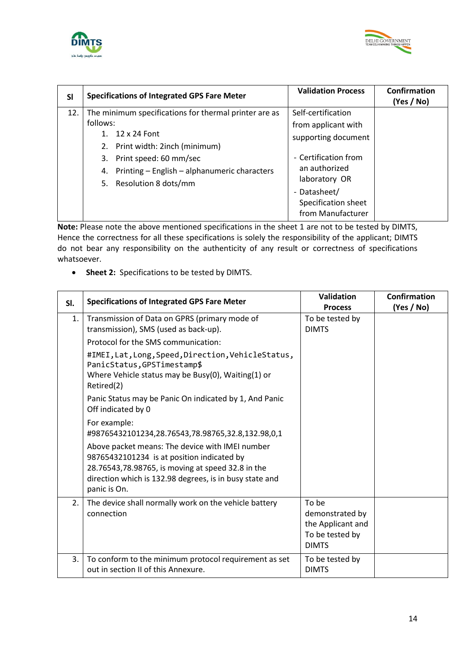



| <b>SI</b> | <b>Specifications of Integrated GPS Fare Meter</b>    | <b>Validation Process</b> | <b>Confirmation</b><br>(Yes / No) |
|-----------|-------------------------------------------------------|---------------------------|-----------------------------------|
| 12.       | The minimum specifications for thermal printer are as | Self-certification        |                                   |
|           | follows:                                              | from applicant with       |                                   |
|           | 12 x 24 Font                                          | supporting document       |                                   |
|           | 2. Print width: 2inch (minimum)                       |                           |                                   |
|           | Print speed: 60 mm/sec<br>3.                          | - Certification from      |                                   |
|           | Printing - English - alphanumeric characters<br>4.    | an authorized             |                                   |
|           | 5. Resolution 8 dots/mm                               | laboratory OR             |                                   |
|           |                                                       | - Datasheet/              |                                   |
|           |                                                       | Specification sheet       |                                   |
|           |                                                       | from Manufacturer         |                                   |

**Note:** Please note the above mentioned specifications in the sheet 1 are not to be tested by DIMTS, Hence the correctness for all these specifications is solely the responsibility of the applicant; DIMTS do not bear any responsibility on the authenticity of any result or correctness of specifications whatsoever.

**Sheet 2:** Specifications to be tested by DIMTS.

| SI. | <b>Specifications of Integrated GPS Fare Meter</b>                                                                                                                                                                            | Validation<br><b>Process</b>                                                     | <b>Confirmation</b><br>(Yes / No) |
|-----|-------------------------------------------------------------------------------------------------------------------------------------------------------------------------------------------------------------------------------|----------------------------------------------------------------------------------|-----------------------------------|
| 1.  | Transmission of Data on GPRS (primary mode of<br>transmission), SMS (used as back-up).                                                                                                                                        | To be tested by<br><b>DIMTS</b>                                                  |                                   |
|     | Protocol for the SMS communication:                                                                                                                                                                                           |                                                                                  |                                   |
|     | #IMEI, Lat, Long, Speed, Direction, VehicleStatus,<br>PanicStatus, GPSTimestamp\$<br>Where Vehicle status may be Busy(0), Waiting(1) or<br>Retired(2)                                                                         |                                                                                  |                                   |
|     | Panic Status may be Panic On indicated by 1, And Panic<br>Off indicated by 0                                                                                                                                                  |                                                                                  |                                   |
|     | For example:<br>#98765432101234,28.76543,78.98765,32.8,132.98,0,1                                                                                                                                                             |                                                                                  |                                   |
|     | Above packet means: The device with IMEI number<br>98765432101234 is at position indicated by<br>28.76543,78.98765, is moving at speed 32.8 in the<br>direction which is 132.98 degrees, is in busy state and<br>panic is On. |                                                                                  |                                   |
| 2.  | The device shall normally work on the vehicle battery<br>connection                                                                                                                                                           | To be<br>demonstrated by<br>the Applicant and<br>To be tested by<br><b>DIMTS</b> |                                   |
| 3.  | To conform to the minimum protocol requirement as set<br>out in section II of this Annexure.                                                                                                                                  | To be tested by<br><b>DIMTS</b>                                                  |                                   |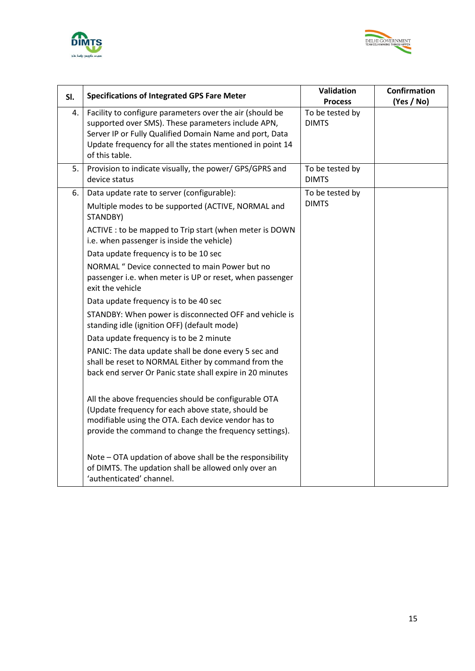



| SI. | <b>Specifications of Integrated GPS Fare Meter</b>                                                                                                                                                                                                       | Validation                      | <b>Confirmation</b> |
|-----|----------------------------------------------------------------------------------------------------------------------------------------------------------------------------------------------------------------------------------------------------------|---------------------------------|---------------------|
|     |                                                                                                                                                                                                                                                          | <b>Process</b>                  | (Yes / No)          |
| 4.  | Facility to configure parameters over the air (should be<br>supported over SMS). These parameters include APN,<br>Server IP or Fully Qualified Domain Name and port, Data<br>Update frequency for all the states mentioned in point 14<br>of this table. | To be tested by<br><b>DIMTS</b> |                     |
| 5.  | Provision to indicate visually, the power/ GPS/GPRS and<br>device status                                                                                                                                                                                 | To be tested by<br><b>DIMTS</b> |                     |
| 6.  | Data update rate to server (configurable):                                                                                                                                                                                                               | To be tested by                 |                     |
|     | Multiple modes to be supported (ACTIVE, NORMAL and<br>STANDBY)                                                                                                                                                                                           | <b>DIMTS</b>                    |                     |
|     | ACTIVE : to be mapped to Trip start (when meter is DOWN<br>i.e. when passenger is inside the vehicle)                                                                                                                                                    |                                 |                     |
|     | Data update frequency is to be 10 sec                                                                                                                                                                                                                    |                                 |                     |
|     | NORMAL " Device connected to main Power but no<br>passenger i.e. when meter is UP or reset, when passenger<br>exit the vehicle                                                                                                                           |                                 |                     |
|     | Data update frequency is to be 40 sec                                                                                                                                                                                                                    |                                 |                     |
|     | STANDBY: When power is disconnected OFF and vehicle is<br>standing idle (ignition OFF) (default mode)                                                                                                                                                    |                                 |                     |
|     | Data update frequency is to be 2 minute                                                                                                                                                                                                                  |                                 |                     |
|     | PANIC: The data update shall be done every 5 sec and<br>shall be reset to NORMAL Either by command from the<br>back end server Or Panic state shall expire in 20 minutes                                                                                 |                                 |                     |
|     | All the above frequencies should be configurable OTA<br>(Update frequency for each above state, should be<br>modifiable using the OTA. Each device vendor has to<br>provide the command to change the frequency settings).                               |                                 |                     |
|     | Note - OTA updation of above shall be the responsibility<br>of DIMTS. The updation shall be allowed only over an<br>'authenticated' channel.                                                                                                             |                                 |                     |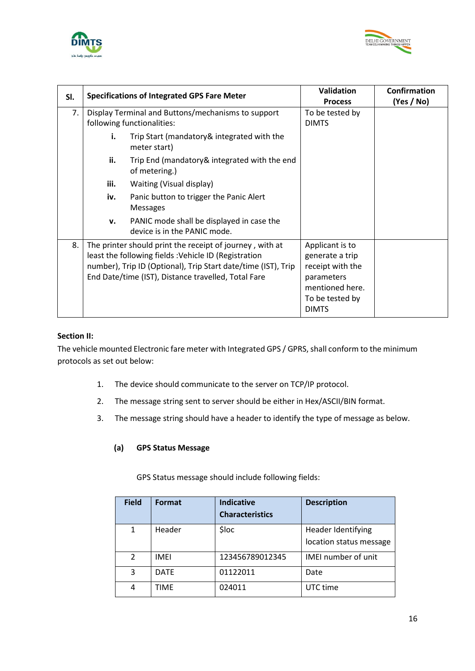



| SI. |                                                                                                                                                                                                                                           | <b>Specifications of Integrated GPS Fare Meter</b>                        |                                                                                                                            | Confirmation<br>(Yes / No) |
|-----|-------------------------------------------------------------------------------------------------------------------------------------------------------------------------------------------------------------------------------------------|---------------------------------------------------------------------------|----------------------------------------------------------------------------------------------------------------------------|----------------------------|
| 7.  | Display Terminal and Buttons/mechanisms to support<br>following functionalities:                                                                                                                                                          |                                                                           | To be tested by<br><b>DIMTS</b>                                                                                            |                            |
|     | i.                                                                                                                                                                                                                                        | Trip Start (mandatory& integrated with the<br>meter start)                |                                                                                                                            |                            |
|     | ii.                                                                                                                                                                                                                                       | Trip End (mandatory& integrated with the end<br>of metering.)             |                                                                                                                            |                            |
|     | iii.                                                                                                                                                                                                                                      | Waiting (Visual display)                                                  |                                                                                                                            |                            |
|     | iv.                                                                                                                                                                                                                                       | Panic button to trigger the Panic Alert<br><b>Messages</b>                |                                                                                                                            |                            |
|     | v.                                                                                                                                                                                                                                        | PANIC mode shall be displayed in case the<br>device is in the PANIC mode. |                                                                                                                            |                            |
| 8.  | The printer should print the receipt of journey, with at<br>least the following fields : Vehicle ID (Registration<br>number), Trip ID (Optional), Trip Start date/time (IST), Trip<br>End Date/time (IST), Distance travelled, Total Fare |                                                                           | Applicant is to<br>generate a trip<br>receipt with the<br>parameters<br>mentioned here.<br>To be tested by<br><b>DIMTS</b> |                            |

## **Section II:**

The vehicle mounted Electronic fare meter with Integrated GPS / GPRS, shall conform to the minimum protocols as set out below:

- 1. The device should communicate to the server on TCP/IP protocol.
- 2. The message string sent to server should be either in Hex/ASCII/BIN format.
- 3. The message string should have a header to identify the type of message as below.

## **(a) GPS Status Message**

GPS Status message should include following fields:

| <b>Field</b>  | <b>Format</b> | <b>Indicative</b><br><b>Characteristics</b> | <b>Description</b>                                   |
|---------------|---------------|---------------------------------------------|------------------------------------------------------|
| 1             | Header        | \$loc                                       | <b>Header Identifying</b><br>location status message |
| $\mathcal{P}$ | <b>IMEI</b>   | 123456789012345                             | <b>IMEI</b> number of unit                           |
| 3             | <b>DATE</b>   | 01122011                                    | Date                                                 |
| 4             | <b>TIME</b>   | 024011                                      | UTC time                                             |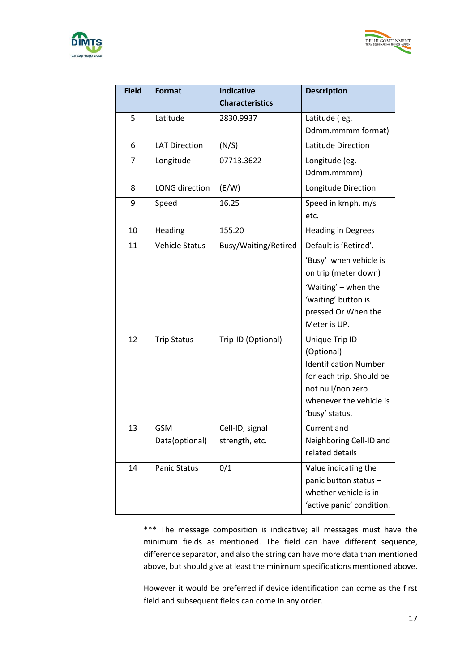



| <b>Field</b>   | <b>Format</b>         | <b>Indicative</b>      | <b>Description</b>                                       |
|----------------|-----------------------|------------------------|----------------------------------------------------------|
|                |                       | <b>Characteristics</b> |                                                          |
| 5              | Latitude              | 2830.9937              | Latitude (eg.                                            |
|                |                       |                        | Ddmm.mmmm format)                                        |
| 6              | <b>LAT Direction</b>  | (N/S)                  | Latitude Direction                                       |
| $\overline{7}$ | Longitude             | 07713.3622             | Longitude (eg.                                           |
|                |                       |                        | Ddmm.mmmm)                                               |
| 8              | <b>LONG</b> direction | (E/W)                  | Longitude Direction                                      |
| 9              | Speed                 | 16.25                  | Speed in kmph, m/s                                       |
|                |                       |                        | etc.                                                     |
| 10             | Heading               | 155.20                 | <b>Heading in Degrees</b>                                |
| 11             | <b>Vehicle Status</b> | Busy/Waiting/Retired   | Default is 'Retired'.                                    |
|                |                       |                        | 'Busy' when vehicle is                                   |
|                |                       |                        | on trip (meter down)                                     |
|                |                       |                        | 'Waiting' - when the                                     |
|                |                       |                        | 'waiting' button is                                      |
|                |                       |                        | pressed Or When the                                      |
|                |                       |                        | Meter is UP.                                             |
| 12             | <b>Trip Status</b>    | Trip-ID (Optional)     | Unique Trip ID                                           |
|                |                       |                        | (Optional)                                               |
|                |                       |                        | <b>Identification Number</b><br>for each trip. Should be |
|                |                       |                        | not null/non zero                                        |
|                |                       |                        | whenever the vehicle is                                  |
|                |                       |                        | 'busy' status.                                           |
| 13             | <b>GSM</b>            | Cell-ID, signal        | Current and                                              |
|                | Data(optional)        | strength, etc.         | Neighboring Cell-ID and                                  |
|                |                       |                        | related details                                          |
| 14             | <b>Panic Status</b>   | 0/1                    | Value indicating the                                     |
|                |                       |                        | panic button status -                                    |
|                |                       |                        | whether vehicle is in                                    |
|                |                       |                        | 'active panic' condition.                                |

\*\*\* The message composition is indicative; all messages must have the minimum fields as mentioned. The field can have different sequence, difference separator, and also the string can have more data than mentioned above, but should give at least the minimum specifications mentioned above.

However it would be preferred if device identification can come as the first field and subsequent fields can come in any order.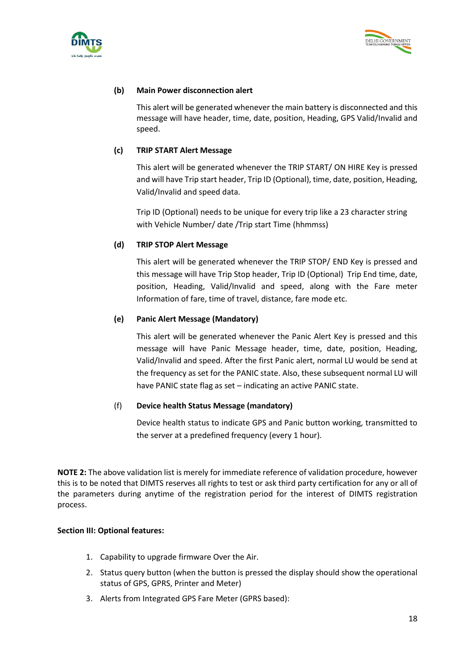



## **(b) Main Power disconnection alert**

This alert will be generated whenever the main battery is disconnected and this message will have header, time, date, position, Heading, GPS Valid/Invalid and speed.

## **(c) TRIP START Alert Message**

This alert will be generated whenever the TRIP START/ ON HIRE Key is pressed and will have Trip start header, Trip ID (Optional), time, date, position, Heading, Valid/Invalid and speed data.

Trip ID (Optional) needs to be unique for every trip like a 23 character string with Vehicle Number/ date /Trip start Time (hhmmss)

## **(d) TRIP STOP Alert Message**

This alert will be generated whenever the TRIP STOP/ END Key is pressed and this message will have Trip Stop header, Trip ID (Optional) Trip End time, date, position, Heading, Valid/Invalid and speed, along with the Fare meter Information of fare, time of travel, distance, fare mode etc.

## **(e) Panic Alert Message (Mandatory)**

This alert will be generated whenever the Panic Alert Key is pressed and this message will have Panic Message header, time, date, position, Heading, Valid/Invalid and speed. After the first Panic alert, normal LU would be send at the frequency as set for the PANIC state. Also, these subsequent normal LU will have PANIC state flag as set – indicating an active PANIC state.

## (f) **Device health Status Message (mandatory)**

Device health status to indicate GPS and Panic button working, transmitted to the server at a predefined frequency (every 1 hour).

**NOTE 2:** The above validation list is merely for immediate reference of validation procedure, however this is to be noted that DIMTS reserves all rights to test or ask third party certification for any or all of the parameters during anytime of the registration period for the interest of DIMTS registration process.

## **Section III: Optional features:**

- 1. Capability to upgrade firmware Over the Air.
- 2. Status query button (when the button is pressed the display should show the operational status of GPS, GPRS, Printer and Meter)
- 3. Alerts from Integrated GPS Fare Meter (GPRS based):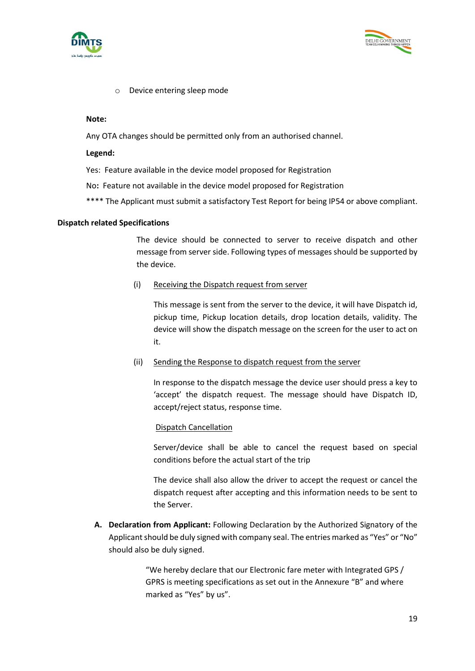



o Device entering sleep mode

#### **Note:**

Any OTA changes should be permitted only from an authorised channel.

#### **Legend:**

Yes: Feature available in the device model proposed for Registration

No**:** Feature not available in the device model proposed for Registration

\*\*\*\* The Applicant must submit a satisfactory Test Report for being IP54 or above compliant.

#### **Dispatch related Specifications**

The device should be connected to server to receive dispatch and other message from server side. Following types of messages should be supported by the device.

(i) Receiving the Dispatch request from server

This message is sent from the server to the device, it will have Dispatch id, pickup time, Pickup location details, drop location details, validity. The device will show the dispatch message on the screen for the user to act on it.

(ii) Sending the Response to dispatch request from the server

In response to the dispatch message the device user should press a key to 'accept' the dispatch request. The message should have Dispatch ID, accept/reject status, response time.

#### Dispatch Cancellation

Server/device shall be able to cancel the request based on special conditions before the actual start of the trip

The device shall also allow the driver to accept the request or cancel the dispatch request after accepting and this information needs to be sent to the Server.

**A. Declaration from Applicant:** Following Declaration by the Authorized Signatory of the Applicant should be duly signed with company seal. The entries marked as "Yes" or "No" should also be duly signed.

> "We hereby declare that our Electronic fare meter with Integrated GPS / GPRS is meeting specifications as set out in the Annexure "B" and where marked as "Yes" by us".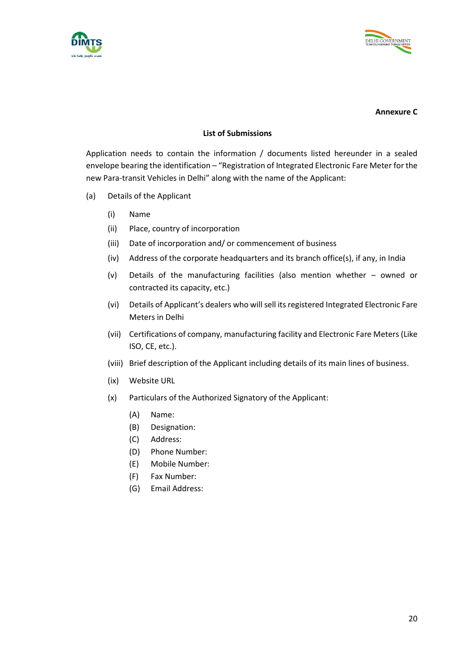



#### **Annexure C**

#### **List of Submissions**

Application needs to contain the information / documents listed hereunder in a sealed envelope bearing the identification – "Registration of Integrated Electronic Fare Meter for the new Para-transit Vehicles in Delhi" along with the name of the Applicant:

- (a) Details of the Applicant
	- (i) Name
	- (ii) Place, country of incorporation
	- (iii) Date of incorporation and/ or commencement of business
	- (iv) Address of the corporate headquarters and its branch office(s), if any, in India
	- (v) Details of the manufacturing facilities (also mention whether owned or contracted its capacity, etc.)
	- (vi) Details of Applicant's dealers who will sell its registered Integrated Electronic Fare Meters in Delhi
	- (vii) Certifications of company, manufacturing facility and Electronic Fare Meters (Like ISO, CE, etc.).
	- (viii) Brief description of the Applicant including details of its main lines of business.
	- (ix) Website URL
	- (x) Particulars of the Authorized Signatory of the Applicant:
		- (A) Name:
		- (B) Designation:
		- (C) Address:
		- (D) Phone Number:
		- (E) Mobile Number:
		- (F) Fax Number:
		- (G) Email Address: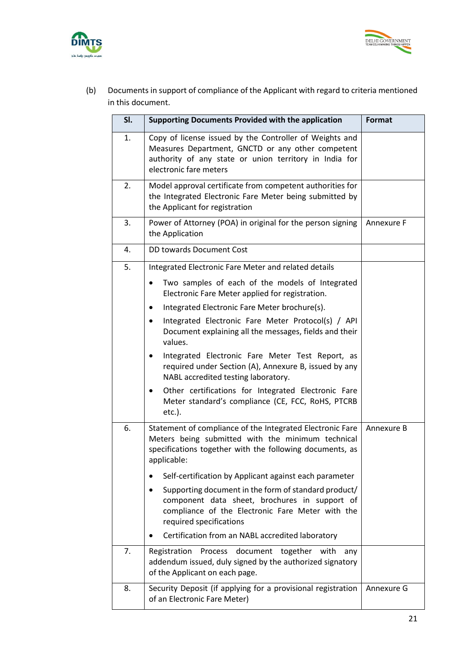



(b) Documents in support of compliance of the Applicant with regard to criteria mentioned in this document.

| SI. | <b>Supporting Documents Provided with the application</b>                                                                                                                                        | <b>Format</b> |
|-----|--------------------------------------------------------------------------------------------------------------------------------------------------------------------------------------------------|---------------|
| 1.  | Copy of license issued by the Controller of Weights and<br>Measures Department, GNCTD or any other competent<br>authority of any state or union territory in India for<br>electronic fare meters |               |
| 2.  | Model approval certificate from competent authorities for<br>the Integrated Electronic Fare Meter being submitted by<br>the Applicant for registration                                           |               |
| 3.  | Power of Attorney (POA) in original for the person signing<br>Annexure F<br>the Application                                                                                                      |               |
| 4.  | DD towards Document Cost                                                                                                                                                                         |               |
| 5.  | Integrated Electronic Fare Meter and related details                                                                                                                                             |               |
|     | Two samples of each of the models of Integrated<br>$\bullet$<br>Electronic Fare Meter applied for registration.                                                                                  |               |
|     | Integrated Electronic Fare Meter brochure(s).<br>$\bullet$                                                                                                                                       |               |
|     | Integrated Electronic Fare Meter Protocol(s) / API<br>Document explaining all the messages, fields and their<br>values.                                                                          |               |
|     | Integrated Electronic Fare Meter Test Report, as<br>required under Section (A), Annexure B, issued by any<br>NABL accredited testing laboratory.                                                 |               |
|     | Other certifications for Integrated Electronic Fare<br>٠<br>Meter standard's compliance (CE, FCC, RoHS, PTCRB<br>$etc.$ ).                                                                       |               |
| 6.  | Statement of compliance of the Integrated Electronic Fare<br>Meters being submitted with the minimum technical<br>specifications together with the following documents, as<br>applicable:        | Annexure B    |
|     | Self-certification by Applicant against each parameter                                                                                                                                           |               |
|     | Supporting document in the form of standard product/<br>component data sheet, brochures in support of<br>compliance of the Electronic Fare Meter with the<br>required specifications             |               |
|     | Certification from an NABL accredited laboratory                                                                                                                                                 |               |
| 7.  | Process<br>document together<br>Registration<br>with<br>any<br>addendum issued, duly signed by the authorized signatory<br>of the Applicant on each page.                                        |               |
| 8.  | Security Deposit (if applying for a provisional registration<br>of an Electronic Fare Meter)                                                                                                     | Annexure G    |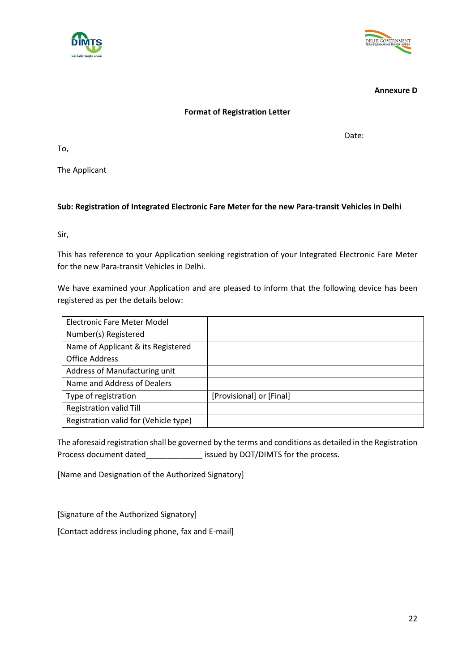



**Annexure D**

## **Format of Registration Letter**

Date:

To,

The Applicant

## **Sub: Registration of Integrated Electronic Fare Meter for the new Para-transit Vehicles in Delhi**

Sir,

This has reference to your Application seeking registration of your Integrated Electronic Fare Meter for the new Para-transit Vehicles in Delhi.

We have examined your Application and are pleased to inform that the following device has been registered as per the details below:

| Electronic Fare Meter Model           |                          |
|---------------------------------------|--------------------------|
| Number(s) Registered                  |                          |
| Name of Applicant & its Registered    |                          |
| <b>Office Address</b>                 |                          |
| Address of Manufacturing unit         |                          |
| Name and Address of Dealers           |                          |
| Type of registration                  | [Provisional] or [Final] |
| <b>Registration valid Till</b>        |                          |
| Registration valid for (Vehicle type) |                          |

The aforesaid registration shall be governed by the terms and conditions as detailed in the Registration Process document dated\_\_\_\_\_\_\_\_\_\_\_\_\_\_ issued by DOT/DIMTS for the process.

[Name and Designation of the Authorized Signatory]

[Signature of the Authorized Signatory]

[Contact address including phone, fax and E-mail]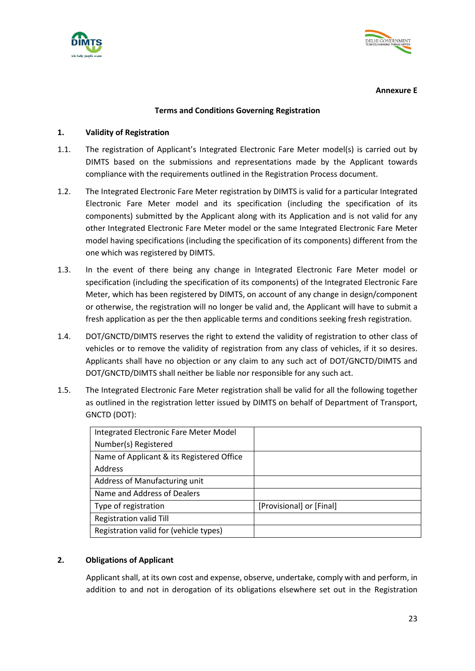



**Annexure E**

## **Terms and Conditions Governing Registration**

#### **1. Validity of Registration**

- 1.1. The registration of Applicant's Integrated Electronic Fare Meter model(s) is carried out by DIMTS based on the submissions and representations made by the Applicant towards compliance with the requirements outlined in the Registration Process document.
- 1.2. The Integrated Electronic Fare Meter registration by DIMTS is valid for a particular Integrated Electronic Fare Meter model and its specification (including the specification of its components) submitted by the Applicant along with its Application and is not valid for any other Integrated Electronic Fare Meter model or the same Integrated Electronic Fare Meter model having specifications (including the specification of its components) different from the one which was registered by DIMTS.
- 1.3. In the event of there being any change in Integrated Electronic Fare Meter model or specification (including the specification of its components) of the Integrated Electronic Fare Meter, which has been registered by DIMTS, on account of any change in design/component or otherwise, the registration will no longer be valid and, the Applicant will have to submit a fresh application as per the then applicable terms and conditions seeking fresh registration.
- 1.4. DOT/GNCTD/DIMTS reserves the right to extend the validity of registration to other class of vehicles or to remove the validity of registration from any class of vehicles, if it so desires. Applicants shall have no objection or any claim to any such act of DOT/GNCTD/DIMTS and DOT/GNCTD/DIMTS shall neither be liable nor responsible for any such act.
- 1.5. The Integrated Electronic Fare Meter registration shall be valid for all the following together as outlined in the registration letter issued by DIMTS on behalf of Department of Transport, GNCTD (DOT):

| Integrated Electronic Fare Meter Model    |                          |
|-------------------------------------------|--------------------------|
| Number(s) Registered                      |                          |
| Name of Applicant & its Registered Office |                          |
| Address                                   |                          |
| Address of Manufacturing unit             |                          |
| Name and Address of Dealers               |                          |
| Type of registration                      | [Provisional] or [Final] |
| <b>Registration valid Till</b>            |                          |
| Registration valid for (vehicle types)    |                          |

## **2. Obligations of Applicant**

Applicant shall, at its own cost and expense, observe, undertake, comply with and perform, in addition to and not in derogation of its obligations elsewhere set out in the Registration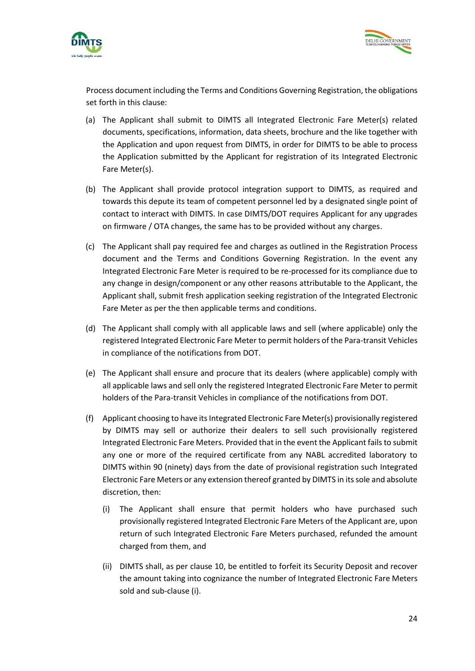



Process document including the Terms and Conditions Governing Registration, the obligations set forth in this clause:

- (a) The Applicant shall submit to DIMTS all Integrated Electronic Fare Meter(s) related documents, specifications, information, data sheets, brochure and the like together with the Application and upon request from DIMTS, in order for DIMTS to be able to process the Application submitted by the Applicant for registration of its Integrated Electronic Fare Meter(s).
- (b) The Applicant shall provide protocol integration support to DIMTS, as required and towards this depute its team of competent personnel led by a designated single point of contact to interact with DIMTS. In case DIMTS/DOT requires Applicant for any upgrades on firmware / OTA changes, the same has to be provided without any charges.
- (c) The Applicant shall pay required fee and charges as outlined in the Registration Process document and the Terms and Conditions Governing Registration. In the event any Integrated Electronic Fare Meter is required to be re-processed for its compliance due to any change in design/component or any other reasons attributable to the Applicant, the Applicant shall, submit fresh application seeking registration of the Integrated Electronic Fare Meter as per the then applicable terms and conditions.
- (d) The Applicant shall comply with all applicable laws and sell (where applicable) only the registered Integrated Electronic Fare Meter to permit holders of the Para-transit Vehicles in compliance of the notifications from DOT.
- (e) The Applicant shall ensure and procure that its dealers (where applicable) comply with all applicable laws and sell only the registered Integrated Electronic Fare Meter to permit holders of the Para-transit Vehicles in compliance of the notifications from DOT.
- (f) Applicant choosing to have its Integrated Electronic Fare Meter(s) provisionally registered by DIMTS may sell or authorize their dealers to sell such provisionally registered Integrated Electronic Fare Meters. Provided that in the event the Applicant fails to submit any one or more of the required certificate from any NABL accredited laboratory to DIMTS within 90 (ninety) days from the date of provisional registration such Integrated Electronic Fare Meters or any extension thereof granted by DIMTS in its sole and absolute discretion, then:
	- (i) The Applicant shall ensure that permit holders who have purchased such provisionally registered Integrated Electronic Fare Meters of the Applicant are, upon return of such Integrated Electronic Fare Meters purchased, refunded the amount charged from them, and
	- (ii) DIMTS shall, as per clause 10, be entitled to forfeit its Security Deposit and recover the amount taking into cognizance the number of Integrated Electronic Fare Meters sold and sub-clause (i).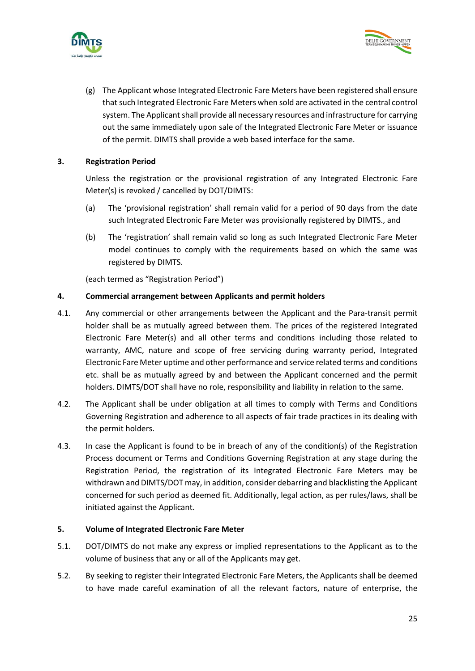



(g) The Applicant whose Integrated Electronic Fare Meters have been registered shall ensure that such Integrated Electronic Fare Meters when sold are activated in the central control system. The Applicant shall provide all necessary resources and infrastructure for carrying out the same immediately upon sale of the Integrated Electronic Fare Meter or issuance of the permit. DIMTS shall provide a web based interface for the same.

## **3. Registration Period**

Unless the registration or the provisional registration of any Integrated Electronic Fare Meter(s) is revoked / cancelled by DOT/DIMTS:

- (a) The 'provisional registration' shall remain valid for a period of 90 days from the date such Integrated Electronic Fare Meter was provisionally registered by DIMTS., and
- (b) The 'registration' shall remain valid so long as such Integrated Electronic Fare Meter model continues to comply with the requirements based on which the same was registered by DIMTS.

(each termed as "Registration Period")

## **4. Commercial arrangement between Applicants and permit holders**

- 4.1. Any commercial or other arrangements between the Applicant and the Para-transit permit holder shall be as mutually agreed between them. The prices of the registered Integrated Electronic Fare Meter(s) and all other terms and conditions including those related to warranty, AMC, nature and scope of free servicing during warranty period, Integrated Electronic Fare Meter uptime and other performance and service related terms and conditions etc. shall be as mutually agreed by and between the Applicant concerned and the permit holders. DIMTS/DOT shall have no role, responsibility and liability in relation to the same.
- 4.2. The Applicant shall be under obligation at all times to comply with Terms and Conditions Governing Registration and adherence to all aspects of fair trade practices in its dealing with the permit holders.
- 4.3. In case the Applicant is found to be in breach of any of the condition(s) of the Registration Process document or Terms and Conditions Governing Registration at any stage during the Registration Period, the registration of its Integrated Electronic Fare Meters may be withdrawn and DIMTS/DOT may, in addition, consider debarring and blacklisting the Applicant concerned for such period as deemed fit. Additionally, legal action, as per rules/laws, shall be initiated against the Applicant.

## **5. Volume of Integrated Electronic Fare Meter**

- 5.1. DOT/DIMTS do not make any express or implied representations to the Applicant as to the volume of business that any or all of the Applicants may get.
- 5.2. By seeking to register their Integrated Electronic Fare Meters, the Applicants shall be deemed to have made careful examination of all the relevant factors, nature of enterprise, the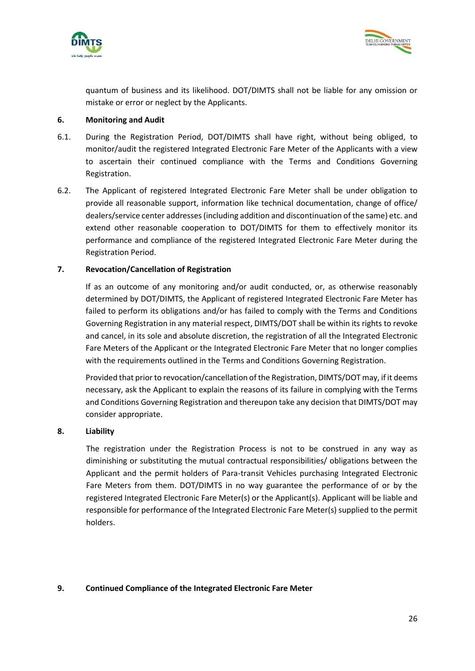



quantum of business and its likelihood. DOT/DIMTS shall not be liable for any omission or mistake or error or neglect by the Applicants.

## **6. Monitoring and Audit**

- 6.1. During the Registration Period, DOT/DIMTS shall have right, without being obliged, to monitor/audit the registered Integrated Electronic Fare Meter of the Applicants with a view to ascertain their continued compliance with the Terms and Conditions Governing Registration.
- 6.2. The Applicant of registered Integrated Electronic Fare Meter shall be under obligation to provide all reasonable support, information like technical documentation, change of office/ dealers/service center addresses (including addition and discontinuation of the same) etc. and extend other reasonable cooperation to DOT/DIMTS for them to effectively monitor its performance and compliance of the registered Integrated Electronic Fare Meter during the Registration Period.

## **7. Revocation/Cancellation of Registration**

If as an outcome of any monitoring and/or audit conducted, or, as otherwise reasonably determined by DOT/DIMTS, the Applicant of registered Integrated Electronic Fare Meter has failed to perform its obligations and/or has failed to comply with the Terms and Conditions Governing Registration in any material respect, DIMTS/DOT shall be within its rights to revoke and cancel, in its sole and absolute discretion, the registration of all the Integrated Electronic Fare Meters of the Applicant or the Integrated Electronic Fare Meter that no longer complies with the requirements outlined in the Terms and Conditions Governing Registration.

Provided that prior to revocation/cancellation of the Registration, DIMTS/DOT may, if it deems necessary, ask the Applicant to explain the reasons of its failure in complying with the Terms and Conditions Governing Registration and thereupon take any decision that DIMTS/DOT may consider appropriate.

## **8. Liability**

The registration under the Registration Process is not to be construed in any way as diminishing or substituting the mutual contractual responsibilities/ obligations between the Applicant and the permit holders of Para-transit Vehicles purchasing Integrated Electronic Fare Meters from them. DOT/DIMTS in no way guarantee the performance of or by the registered Integrated Electronic Fare Meter(s) or the Applicant(s). Applicant will be liable and responsible for performance of the Integrated Electronic Fare Meter(s) supplied to the permit holders.

## **9. Continued Compliance of the Integrated Electronic Fare Meter**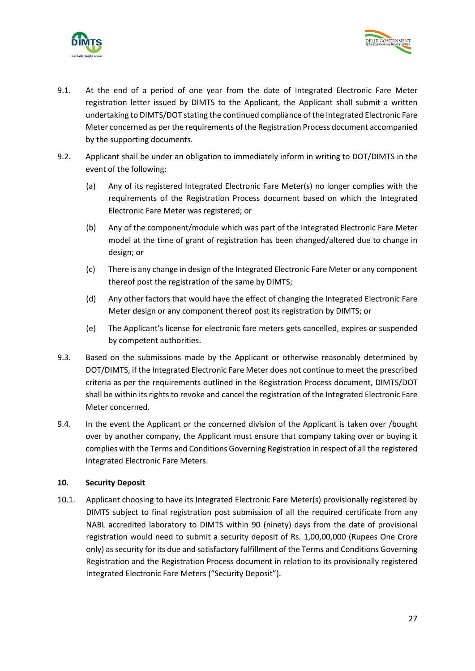



- 9.1. At the end of a period of one year from the date of Integrated Electronic Fare Meter registration letter issued by DIMTS to the Applicant, the Applicant shall submit a written undertaking to DIMTS/DOT stating the continued compliance of the Integrated Electronic Fare Meter concerned as per the requirements of the Registration Process document accompanied by the supporting documents.
- 9.2. Applicant shall be under an obligation to immediately inform in writing to DOT/DIMTS in the event of the following:
	- (a) Any of its registered Integrated Electronic Fare Meter(s) no longer complies with the requirements of the Registration Process document based on which the Integrated Electronic Fare Meter was registered; or
	- (b) Any of the component/module which was part of the Integrated Electronic Fare Meter model at the time of grant of registration has been changed/altered due to change in design; or
	- (c) There is any change in design of the Integrated Electronic Fare Meter or any component thereof post the registration of the same by DIMTS;
	- (d) Any other factors that would have the effect of changing the Integrated Electronic Fare Meter design or any component thereof post its registration by DIMTS; or
	- (e) The Applicant's license for electronic fare meters gets cancelled, expires or suspended by competent authorities.
- 9.3. Based on the submissions made by the Applicant or otherwise reasonably determined by DOT/DIMTS, if the Integrated Electronic Fare Meter does not continue to meet the prescribed criteria as per the requirements outlined in the Registration Process document, DIMTS/DOT shall be within its rights to revoke and cancel the registration of the Integrated Electronic Fare Meter concerned.
- 9.4. In the event the Applicant or the concerned division of the Applicant is taken over /bought over by another company, the Applicant must ensure that company taking over or buying it complies with the Terms and Conditions Governing Registration in respect of all the registered Integrated Electronic Fare Meters.

## **10. Security Deposit**

10.1. Applicant choosing to have its Integrated Electronic Fare Meter(s) provisionally registered by DIMTS subject to final registration post submission of all the required certificate from any NABL accredited laboratory to DIMTS within 90 (ninety) days from the date of provisional registration would need to submit a security deposit of Rs. 1,00,00,000 (Rupees One Crore only) as security for its due and satisfactory fulfillment of the Terms and Conditions Governing Registration and the Registration Process document in relation to its provisionally registered Integrated Electronic Fare Meters ("Security Deposit").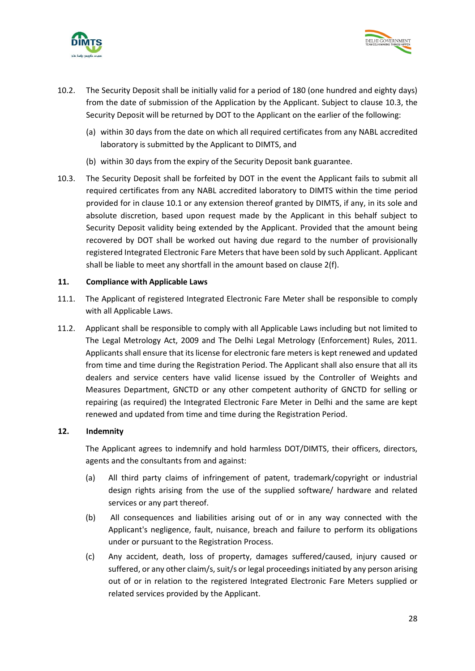



- 10.2. The Security Deposit shall be initially valid for a period of 180 (one hundred and eighty days) from the date of submission of the Application by the Applicant. Subject to clause 10.3, the Security Deposit will be returned by DOT to the Applicant on the earlier of the following:
	- (a) within 30 days from the date on which all required certificates from any NABL accredited laboratory is submitted by the Applicant to DIMTS, and
	- (b) within 30 days from the expiry of the Security Deposit bank guarantee.
- 10.3. The Security Deposit shall be forfeited by DOT in the event the Applicant fails to submit all required certificates from any NABL accredited laboratory to DIMTS within the time period provided for in clause 10.1 or any extension thereof granted by DIMTS, if any, in its sole and absolute discretion, based upon request made by the Applicant in this behalf subject to Security Deposit validity being extended by the Applicant. Provided that the amount being recovered by DOT shall be worked out having due regard to the number of provisionally registered Integrated Electronic Fare Meters that have been sold by such Applicant. Applicant shall be liable to meet any shortfall in the amount based on clause 2(f).

## **11. Compliance with Applicable Laws**

- 11.1. The Applicant of registered Integrated Electronic Fare Meter shall be responsible to comply with all Applicable Laws.
- 11.2. Applicant shall be responsible to comply with all Applicable Laws including but not limited to The Legal Metrology Act, 2009 and The Delhi Legal Metrology (Enforcement) Rules, 2011. Applicants shall ensure that its license for electronic fare meters is kept renewed and updated from time and time during the Registration Period. The Applicant shall also ensure that all its dealers and service centers have valid license issued by the Controller of Weights and Measures Department, GNCTD or any other competent authority of GNCTD for selling or repairing (as required) the Integrated Electronic Fare Meter in Delhi and the same are kept renewed and updated from time and time during the Registration Period.

## **12. Indemnity**

The Applicant agrees to indemnify and hold harmless DOT/DIMTS, their officers, directors, agents and the consultants from and against:

- (a) All third party claims of infringement of patent, trademark/copyright or industrial design rights arising from the use of the supplied software/ hardware and related services or any part thereof.
- (b) All consequences and liabilities arising out of or in any way connected with the Applicant's negligence, fault, nuisance, breach and failure to perform its obligations under or pursuant to the Registration Process.
- (c) Any accident, death, loss of property, damages suffered/caused, injury caused or suffered, or any other claim/s, suit/s or legal proceedings initiated by any person arising out of or in relation to the registered Integrated Electronic Fare Meters supplied or related services provided by the Applicant.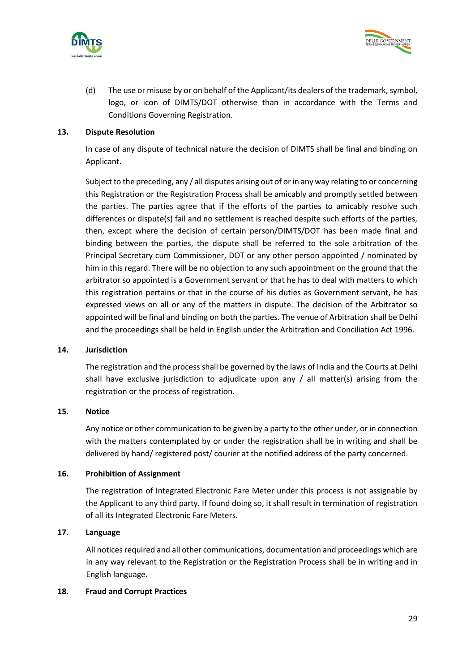



(d) The use or misuse by or on behalf of the Applicant/its dealers of the trademark, symbol, logo, or icon of DIMTS/DOT otherwise than in accordance with the Terms and Conditions Governing Registration.

## **13. Dispute Resolution**

In case of any dispute of technical nature the decision of DIMTS shall be final and binding on Applicant.

Subject to the preceding, any / all disputes arising out of or in any way relating to or concerning this Registration or the Registration Process shall be amicably and promptly settled between the parties. The parties agree that if the efforts of the parties to amicably resolve such differences or dispute(s) fail and no settlement is reached despite such efforts of the parties, then, except where the decision of certain person/DIMTS/DOT has been made final and binding between the parties, the dispute shall be referred to the sole arbitration of the Principal Secretary cum Commissioner, DOT or any other person appointed / nominated by him in this regard. There will be no objection to any such appointment on the ground that the arbitrator so appointed is a Government servant or that he has to deal with matters to which this registration pertains or that in the course of his duties as Government servant, he has expressed views on all or any of the matters in dispute. The decision of the Arbitrator so appointed will be final and binding on both the parties. The venue of Arbitration shall be Delhi and the proceedings shall be held in English under the Arbitration and Conciliation Act 1996.

## **14. Jurisdiction**

The registration and the process shall be governed by the laws of India and the Courts at Delhi shall have exclusive jurisdiction to adjudicate upon any  $/$  all matter(s) arising from the registration or the process of registration.

## **15. Notice**

Any notice or other communication to be given by a party to the other under, or in connection with the matters contemplated by or under the registration shall be in writing and shall be delivered by hand/ registered post/ courier at the notified address of the party concerned.

## **16. Prohibition of Assignment**

The registration of Integrated Electronic Fare Meter under this process is not assignable by the Applicant to any third party. If found doing so, it shall result in termination of registration of all its Integrated Electronic Fare Meters.

## **17. Language**

All notices required and all other communications, documentation and proceedings which are in any way relevant to the Registration or the Registration Process shall be in writing and in English language.

## **18. Fraud and Corrupt Practices**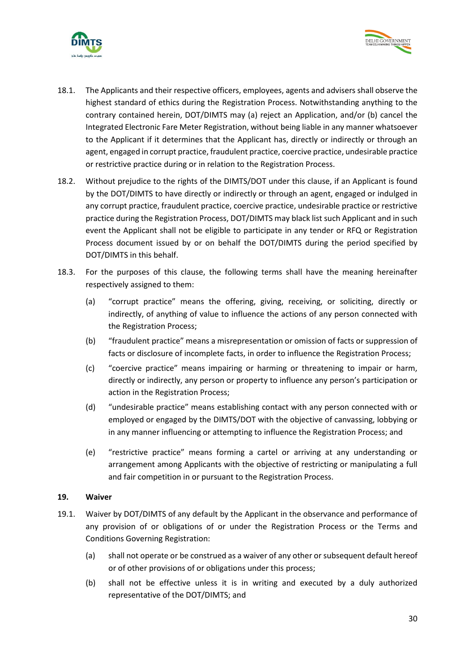



- 18.1. The Applicants and their respective officers, employees, agents and advisers shall observe the highest standard of ethics during the Registration Process. Notwithstanding anything to the contrary contained herein, DOT/DIMTS may (a) reject an Application, and/or (b) cancel the Integrated Electronic Fare Meter Registration, without being liable in any manner whatsoever to the Applicant if it determines that the Applicant has, directly or indirectly or through an agent, engaged in corrupt practice, fraudulent practice, coercive practice, undesirable practice or restrictive practice during or in relation to the Registration Process.
- 18.2. Without prejudice to the rights of the DIMTS/DOT under this clause, if an Applicant is found by the DOT/DIMTS to have directly or indirectly or through an agent, engaged or indulged in any corrupt practice, fraudulent practice, coercive practice, undesirable practice or restrictive practice during the Registration Process, DOT/DIMTS may black list such Applicant and in such event the Applicant shall not be eligible to participate in any tender or RFQ or Registration Process document issued by or on behalf the DOT/DIMTS during the period specified by DOT/DIMTS in this behalf.
- 18.3. For the purposes of this clause, the following terms shall have the meaning hereinafter respectively assigned to them:
	- (a) "corrupt practice" means the offering, giving, receiving, or soliciting, directly or indirectly, of anything of value to influence the actions of any person connected with the Registration Process;
	- (b) "fraudulent practice" means a misrepresentation or omission of facts or suppression of facts or disclosure of incomplete facts, in order to influence the Registration Process;
	- (c) "coercive practice" means impairing or harming or threatening to impair or harm, directly or indirectly, any person or property to influence any person's participation or action in the Registration Process;
	- (d) "undesirable practice" means establishing contact with any person connected with or employed or engaged by the DIMTS/DOT with the objective of canvassing, lobbying or in any manner influencing or attempting to influence the Registration Process; and
	- (e) "restrictive practice" means forming a cartel or arriving at any understanding or arrangement among Applicants with the objective of restricting or manipulating a full and fair competition in or pursuant to the Registration Process.

## **19. Waiver**

- 19.1. Waiver by DOT/DIMTS of any default by the Applicant in the observance and performance of any provision of or obligations of or under the Registration Process or the Terms and Conditions Governing Registration:
	- (a) shall not operate or be construed as a waiver of any other or subsequent default hereof or of other provisions of or obligations under this process;
	- (b) shall not be effective unless it is in writing and executed by a duly authorized representative of the DOT/DIMTS; and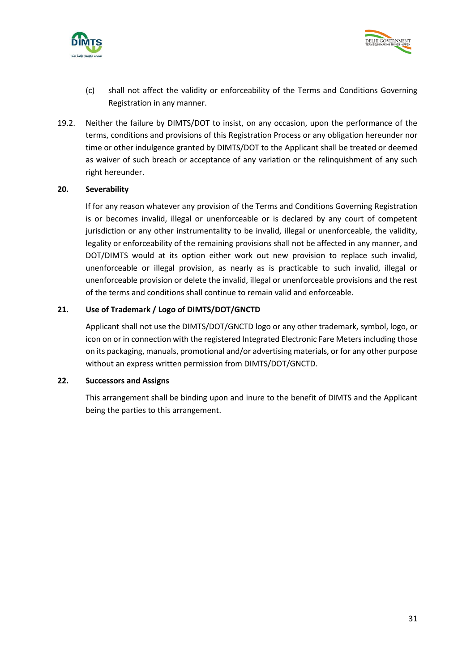



- (c) shall not affect the validity or enforceability of the Terms and Conditions Governing Registration in any manner.
- 19.2. Neither the failure by DIMTS/DOT to insist, on any occasion, upon the performance of the terms, conditions and provisions of this Registration Process or any obligation hereunder nor time or other indulgence granted by DIMTS/DOT to the Applicant shall be treated or deemed as waiver of such breach or acceptance of any variation or the relinquishment of any such right hereunder.

## **20. Severability**

If for any reason whatever any provision of the Terms and Conditions Governing Registration is or becomes invalid, illegal or unenforceable or is declared by any court of competent jurisdiction or any other instrumentality to be invalid, illegal or unenforceable, the validity, legality or enforceability of the remaining provisions shall not be affected in any manner, and DOT/DIMTS would at its option either work out new provision to replace such invalid, unenforceable or illegal provision, as nearly as is practicable to such invalid, illegal or unenforceable provision or delete the invalid, illegal or unenforceable provisions and the rest of the terms and conditions shall continue to remain valid and enforceable.

## **21. Use of Trademark / Logo of DIMTS/DOT/GNCTD**

Applicant shall not use the DIMTS/DOT/GNCTD logo or any other trademark, symbol, logo, or icon on or in connection with the registered Integrated Electronic Fare Meters including those on its packaging, manuals, promotional and/or advertising materials, or for any other purpose without an express written permission from DIMTS/DOT/GNCTD.

## **22. Successors and Assigns**

This arrangement shall be binding upon and inure to the benefit of DIMTS and the Applicant being the parties to this arrangement.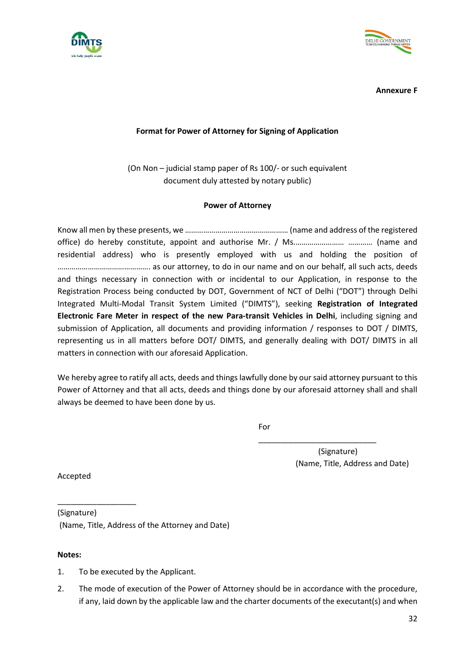



**Annexure F**

## **Format for Power of Attorney for Signing of Application**

(On Non – judicial stamp paper of Rs 100/- or such equivalent document duly attested by notary public)

## **Power of Attorney**

Know all men by these presents, we …………………………………………… (name and address of the registered office) do hereby constitute, appoint and authorise Mr. / Ms.…………………… ………… (name and residential address) who is presently employed with us and holding the position of ………………………………………. as our attorney, to do in our name and on our behalf, all such acts, deeds and things necessary in connection with or incidental to our Application, in response to the Registration Process being conducted by DOT, Government of NCT of Delhi ("DOT") through Delhi Integrated Multi-Modal Transit System Limited ("DIMTS"), seeking **Registration of Integrated Electronic Fare Meter in respect of the new Para-transit Vehicles in Delhi**, including signing and submission of Application, all documents and providing information / responses to DOT / DIMTS, representing us in all matters before DOT/ DIMTS, and generally dealing with DOT/ DIMTS in all matters in connection with our aforesaid Application.

We hereby agree to ratify all acts, deeds and things lawfully done by our said attorney pursuant to this Power of Attorney and that all acts, deeds and things done by our aforesaid attorney shall and shall always be deemed to have been done by us.

For

(Signature) (Name, Title, Address and Date)

\_\_\_\_\_\_\_\_\_\_\_\_\_\_\_\_\_\_\_\_\_\_\_\_\_\_\_

Accepted

\_\_\_\_\_\_\_\_\_\_\_\_\_\_\_\_\_\_ (Signature) (Name, Title, Address of the Attorney and Date)

**Notes:** 

- 1. To be executed by the Applicant.
- 2. The mode of execution of the Power of Attorney should be in accordance with the procedure, if any, laid down by the applicable law and the charter documents of the executant(s) and when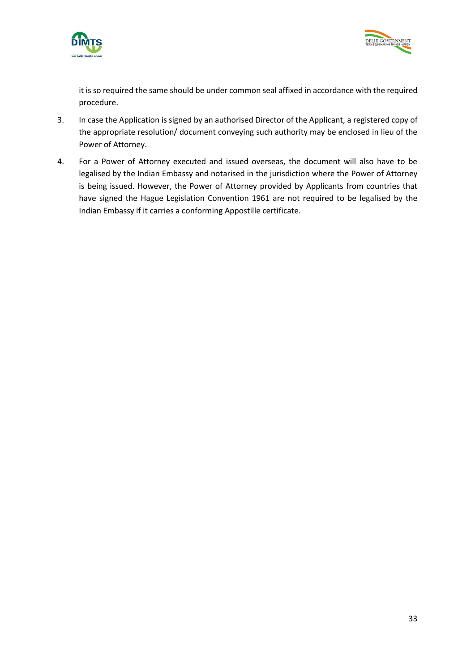



it is so required the same should be under common seal affixed in accordance with the required procedure.

- 3. In case the Application is signed by an authorised Director of the Applicant, a registered copy of the appropriate resolution/ document conveying such authority may be enclosed in lieu of the Power of Attorney.
- 4. For a Power of Attorney executed and issued overseas, the document will also have to be legalised by the Indian Embassy and notarised in the jurisdiction where the Power of Attorney is being issued. However, the Power of Attorney provided by Applicants from countries that have signed the Hague Legislation Convention 1961 are not required to be legalised by the Indian Embassy if it carries a conforming Appostille certificate.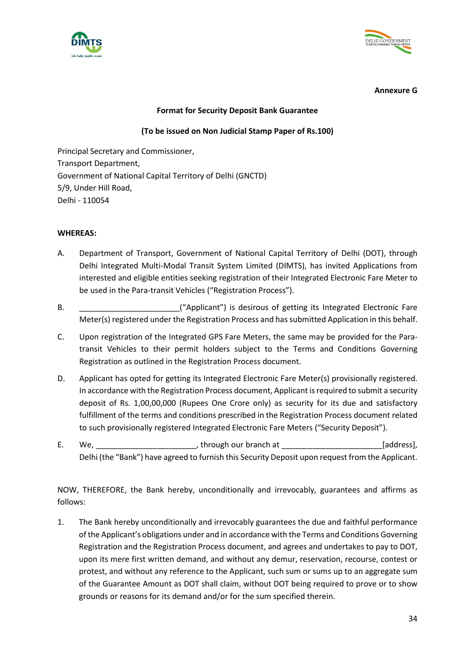



#### **Annexure G**

#### **Format for Security Deposit Bank Guarantee**

## **(To be issued on Non Judicial Stamp Paper of Rs.100)**

Principal Secretary and Commissioner, Transport Department, Government of National Capital Territory of Delhi (GNCTD) 5/9, Under Hill Road, Delhi - 110054

## **WHEREAS:**

- A. Department of Transport, Government of National Capital Territory of Delhi (DOT), through Delhi Integrated Multi-Modal Transit System Limited (DIMTS), has invited Applications from interested and eligible entities seeking registration of their Integrated Electronic Fare Meter to be used in the Para-transit Vehicles ("Registration Process").
- B. **Example 20 and Complete Computer** ("Applicant") is desirous of getting its Integrated Electronic Fare Meter(s) registered under the Registration Process and has submitted Application in this behalf.
- C. Upon registration of the Integrated GPS Fare Meters, the same may be provided for the Paratransit Vehicles to their permit holders subject to the Terms and Conditions Governing Registration as outlined in the Registration Process document.
- D. Applicant has opted for getting its Integrated Electronic Fare Meter(s) provisionally registered. In accordance with the Registration Process document, Applicant is required to submit a security deposit of Rs. 1,00,00,000 (Rupees One Crore only) as security for its due and satisfactory fulfillment of the terms and conditions prescribed in the Registration Process document related to such provisionally registered Integrated Electronic Fare Meters ("Security Deposit").
- E. We, \_\_\_\_\_\_\_\_\_\_\_\_\_\_\_\_\_\_\_\_\_\_\_, through our branch at \_\_\_\_\_\_\_\_\_\_\_\_\_\_\_\_\_\_\_\_\_\_\_[address], Delhi (the "Bank") have agreed to furnish this Security Deposit upon request from the Applicant.

NOW, THEREFORE, the Bank hereby, unconditionally and irrevocably, guarantees and affirms as follows:

1. The Bank hereby unconditionally and irrevocably guarantees the due and faithful performance of the Applicant's obligations under and in accordance with the Terms and Conditions Governing Registration and the Registration Process document, and agrees and undertakes to pay to DOT, upon its mere first written demand, and without any demur, reservation, recourse, contest or protest, and without any reference to the Applicant, such sum or sums up to an aggregate sum of the Guarantee Amount as DOT shall claim, without DOT being required to prove or to show grounds or reasons for its demand and/or for the sum specified therein.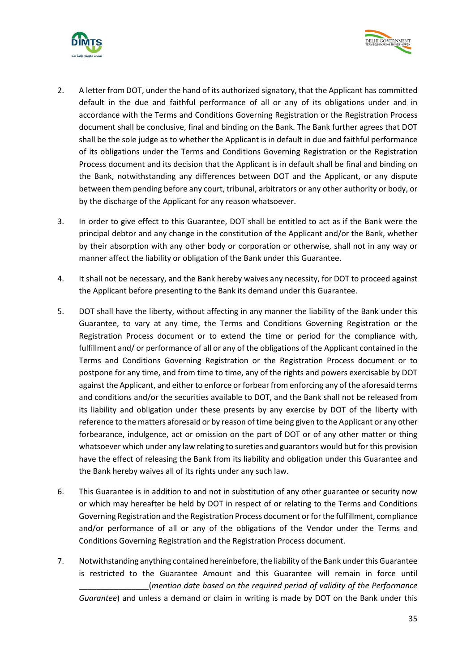



- 2. A letter from DOT, under the hand of its authorized signatory, that the Applicant has committed default in the due and faithful performance of all or any of its obligations under and in accordance with the Terms and Conditions Governing Registration or the Registration Process document shall be conclusive, final and binding on the Bank. The Bank further agrees that DOT shall be the sole judge as to whether the Applicant is in default in due and faithful performance of its obligations under the Terms and Conditions Governing Registration or the Registration Process document and its decision that the Applicant is in default shall be final and binding on the Bank, notwithstanding any differences between DOT and the Applicant, or any dispute between them pending before any court, tribunal, arbitrators or any other authority or body, or by the discharge of the Applicant for any reason whatsoever.
- 3. In order to give effect to this Guarantee, DOT shall be entitled to act as if the Bank were the principal debtor and any change in the constitution of the Applicant and/or the Bank, whether by their absorption with any other body or corporation or otherwise, shall not in any way or manner affect the liability or obligation of the Bank under this Guarantee.
- 4. It shall not be necessary, and the Bank hereby waives any necessity, for DOT to proceed against the Applicant before presenting to the Bank its demand under this Guarantee.
- 5. DOT shall have the liberty, without affecting in any manner the liability of the Bank under this Guarantee, to vary at any time, the Terms and Conditions Governing Registration or the Registration Process document or to extend the time or period for the compliance with, fulfillment and/ or performance of all or any of the obligations of the Applicant contained in the Terms and Conditions Governing Registration or the Registration Process document or to postpone for any time, and from time to time, any of the rights and powers exercisable by DOT against the Applicant, and either to enforce or forbear from enforcing any of the aforesaid terms and conditions and/or the securities available to DOT, and the Bank shall not be released from its liability and obligation under these presents by any exercise by DOT of the liberty with reference to the matters aforesaid or by reason of time being given to the Applicant or any other forbearance, indulgence, act or omission on the part of DOT or of any other matter or thing whatsoever which under any law relating to sureties and guarantors would but for this provision have the effect of releasing the Bank from its liability and obligation under this Guarantee and the Bank hereby waives all of its rights under any such law.
- 6. This Guarantee is in addition to and not in substitution of any other guarantee or security now or which may hereafter be held by DOT in respect of or relating to the Terms and Conditions Governing Registration and the Registration Process document or for the fulfillment, compliance and/or performance of all or any of the obligations of the Vendor under the Terms and Conditions Governing Registration and the Registration Process document.
- 7. Notwithstanding anything contained hereinbefore, the liability of the Bank under this Guarantee is restricted to the Guarantee Amount and this Guarantee will remain in force until \_\_\_\_\_\_\_\_\_\_\_\_\_\_\_\_(*mention date based on the required period of validity of the Performance Guarantee*) and unless a demand or claim in writing is made by DOT on the Bank under this